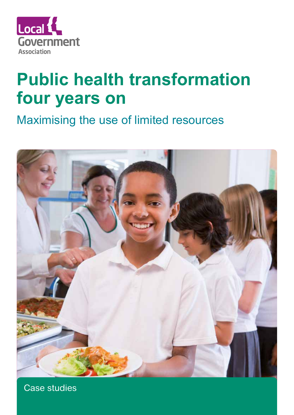

# **Public health transformation four years on**

Maximising the use of limited resources



Case studies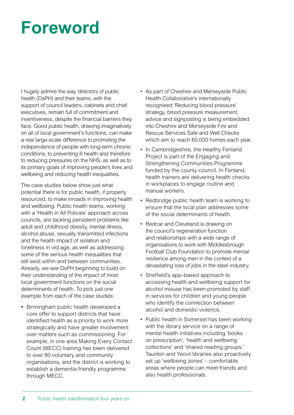# **Foreword**

I hugely admire the way directors of public health (DsPH) and their teams, with the support of council leaders, cabinets and chief executives, remain full of commitment and inventiveness, despite the financial barriers they face. Good public health, drawing imaginatively on all of local government's functions, can make a real large-scale difference to promoting the independence of people with long-term chronic conditions, to preventing ill health and therefore to reducing pressures on the NHS, as well as to its primary goals of improving people's lives and wellbeing and reducing health inequalities.

The case studies below show just what potential there is for public health, if properly resourced, to make inroads in improving health and wellbeing. Public health teams, working with a 'Health in All Policies' approach across councils, are tackling persistent problems like adult and childhood obesity, mental illness, alcohol abuse, sexually transmitted infections and the health impact of isolation and loneliness in old age, as well as addressing some of the serious health inequalities that still exist within and between communities. Already, we see DsPH beginning to build on their understanding of the impact of most local government functions on the social determinants of health. To pick just one example from each of the case studies:

• Birmingham public health developed a core offer to support districts that have identified health as a priority to work more strategically and have greater involvement over matters such as commissioning. For example, in one area Making Every Contact Count (MECC) training has been delivered to over 80 voluntary and community organisations, and the district is working to establish a dementia friendly programme through MECC.

- As part of Cheshire and Merseyside Public Health Collaborative's internationally recognised 'Reducing blood pressure' strategy, blood pressure measurement, advice and signposting is being embedded into Cheshire and Merseyside Fire and Rescue Services Safe and Well Checks which aim to reach 60,000 homes each year.
- In Cambridgeshire, the Healthy Fenland Project is part of the Engaging and Strengthening Communities Programme funded by the county council. In Fenland, health trainers are delivering health checks in workplaces to engage routine and manual workers.
- Redbridge public health team is working to ensure that the local plan addresses some of the social determinants of health.
- Redcar and Cleveland is drawing on the council's regeneration function and relationships with a wide range of organisations to work with Middlesbrough Football Club Foundation to promote mental resilience among men in the context of a devastating loss of jobs in the steel industry.
- Sheffield's app-based approach to accessing health and wellbeing support for alcohol misuse has been promoted by staff in services for children and young people who identify the connection between alcohol and domestic violence.
- Public health in Somerset has been working with the library service on a range of mental health initiatives including 'books on prescription', 'health and wellbeing collections' and 'shared reading groups.' Taunton and Yeovil libraries also proactively set up 'wellbeing zones' – comfortable areas where people can meet friends and also health professionals.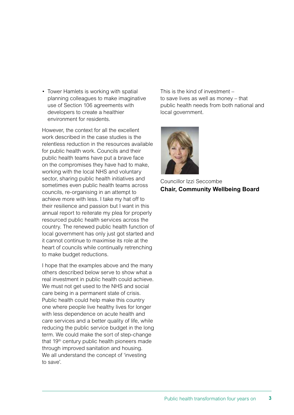• Tower Hamlets is working with spatial planning colleagues to make imaginative use of Section 106 agreements with developers to create a healthier environment for residents.

However, the context for all the excellent work described in the case studies is the relentless reduction in the resources available for public health work. Councils and their public health teams have put a brave face on the compromises they have had to make, working with the local NHS and voluntary sector, sharing public health initiatives and sometimes even public health teams across councils, re-organising in an attempt to achieve more with less. I take my hat off to their resilience and passion but I want in this annual report to reiterate my plea for properly resourced public health services across the country. The renewed public health function of local government has only just got started and it cannot continue to maximise its role at the heart of councils while continually retrenching to make budget reductions.

I hope that the examples above and the many others described below serve to show what a real investment in public health could achieve. We must not get used to the NHS and social care being in a permanent state of crisis. Public health could help make this country one where people live healthy lives for longer with less dependence on acute health and care services and a better quality of life, while reducing the public service budget in the long term. We could make the sort of step-change that 19<sup>th</sup> century public health pioneers made through improved sanitation and housing. We all understand the concept of 'investing to save'.

This is the kind of investment – to save lives as well as money – that public health needs from both national and local government.



Councillor Izzi Seccombe **Chair, Community Wellbeing Board**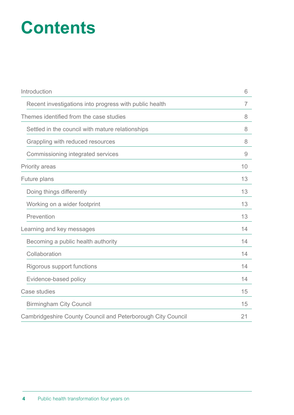# **Contents**

| Introduction                                                | 6  |
|-------------------------------------------------------------|----|
| Recent investigations into progress with public health      | 7  |
| Themes identified from the case studies                     | 8  |
| Settled in the council with mature relationships            | 8  |
| Grappling with reduced resources                            | 8  |
| Commissioning integrated services                           | 9  |
| <b>Priority areas</b>                                       | 10 |
| Future plans                                                | 13 |
| Doing things differently                                    | 13 |
| Working on a wider footprint                                | 13 |
| Prevention                                                  | 13 |
| Learning and key messages                                   | 14 |
| Becoming a public health authority                          | 14 |
| Collaboration                                               | 14 |
| Rigorous support functions                                  | 14 |
| Evidence-based policy                                       | 14 |
| Case studies                                                | 15 |
| <b>Birmingham City Council</b>                              | 15 |
| Cambridgeshire County Council and Peterborough City Council | 21 |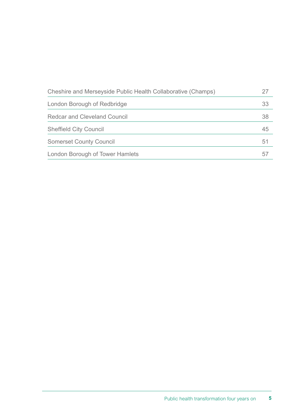| Cheshire and Merseyside Public Health Collaborative (Champs) |    |
|--------------------------------------------------------------|----|
| London Borough of Redbridge                                  | 33 |
| <b>Redcar and Cleveland Council</b>                          | 38 |
| <b>Sheffield City Council</b>                                | 45 |
| <b>Somerset County Council</b>                               | 51 |
| London Borough of Tower Hamlets                              |    |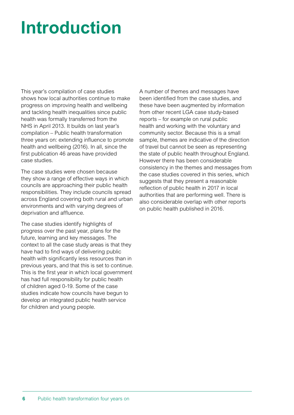# **Introduction**

This year's compilation of case studies shows how local authorities continue to make progress on improving health and wellbeing and tackling health inequalities since public health was formally transferred from the NHS in April 2013. It builds on last year's compilation – Public health transformation three years on: extending influence to promote health and wellbeing (2016). In all, since the first publication 46 areas have provided case studies.

The case studies were chosen because they show a range of effective ways in which councils are approaching their public health responsibilities. They include councils spread across England covering both rural and urban environments and with varying degrees of deprivation and affluence.

The case studies identify highlights of progress over the past year, plans for the future, learning and key messages. The context to all the case study areas is that they have had to find ways of delivering public health with significantly less resources than in previous years, and that this is set to continue. This is the first year in which local government has had full responsibility for public health of children aged 0-19. Some of the case studies indicate how councils have begun to develop an integrated public health service for children and young people.

A number of themes and messages have been identified from the case studies, and these have been augmented by information from other recent LGA case study-based reports – for example on rural public health and working with the voluntary and community sector. Because this is a small sample, themes are indicative of the direction of travel but cannot be seen as representing the state of public health throughout England. However there has been considerable consistency in the themes and messages from the case studies covered in this series, which suggests that they present a reasonable reflection of public health in 2017 in local authorities that are performing well. There is also considerable overlap with other reports on public health published in 2016.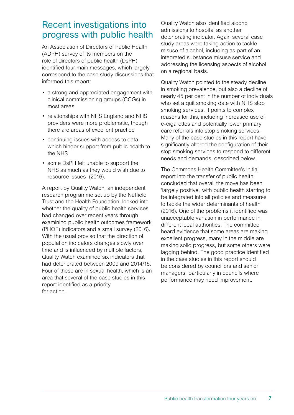### Recent investigations into progress with public health

An Association of Directors of Public Health (ADPH) survey of its members on the role of directors of public health (DsPH) identified four main messages, which largely correspond to the case study discussions that informed this report:

- a strong and appreciated engagement with clinical commissioning groups (CCGs) in most areas
- relationships with NHS England and NHS providers were more problematic, though there are areas of excellent practice
- continuing issues with access to data which hinder support from public health to the NHS
- some DsPH felt unable to support the NHS as much as they would wish due to resource issues (2016).

A report by Quality Watch, an independent research programme set up by the Nuffield Trust and the Health Foundation, looked into whether the quality of public health services had changed over recent years through examining public health outcomes framework (PHOF) indicators and a small survey (2016). With the usual proviso that the direction of population indicators changes slowly over time and is influenced by multiple factors, Quality Watch examined six indicators that had deteriorated between 2009 and 2014/15. Four of these are in sexual health, which is an area that several of the case studies in this report identified as a priority for action.

Quality Watch also identified alcohol admissions to hospital as another deteriorating indicator. Again several case study areas were taking action to tackle misuse of alcohol, including as part of an integrated substance misuse service and addressing the licensing aspects of alcohol on a regional basis.

Quality Watch pointed to the steady decline in smoking prevalence, but also a decline of nearly 45 per cent in the number of individuals who set a quit smoking date with NHS stop smoking services. It points to complex reasons for this, including increased use of e-cigarettes and potentially lower primary care referrals into stop smoking services. Many of the case studies in this report have significantly altered the configuration of their stop smoking services to respond to different needs and demands, described below.

The Commons Health Committee's initial report into the transfer of public health concluded that overall the move has been 'largely positive', with public health starting to be integrated into all policies and measures to tackle the wider determinants of health (2016). One of the problems it identified was unacceptable variation in performance in different local authorities. The committee heard evidence that some areas are making excellent progress, many in the middle are making solid progress, but some others were lagging behind. The good practice identified in the case studies in this report should be considered by councillors and senior managers, particularly in councils where performance may need improvement.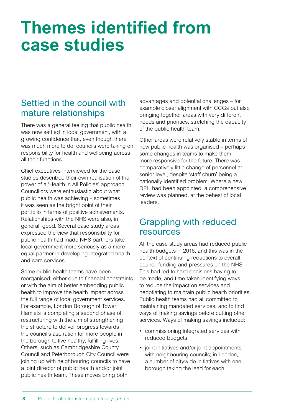# **Themes identified from case studies**

### Settled in the council with mature relationships

There was a general feeling that public health was now settled in local government, with a growing confidence that, even though there was much more to do, councils were taking on responsibility for health and wellbeing across all their functions.

Chief executives interviewed for the case studies described their own realisation of the power of a 'Health in All Policies' approach. Councillors were enthusiastic about what public health was achieving – sometimes it was seen as the bright point of their portfolio in terms of positive achievements. Relationships with the NHS were also, in general, good. Several case study areas expressed the view that responsibility for public health had made NHS partners take local government more seriously as a more equal partner in developing integrated health and care services.

Some public health teams have been reorganised, either due to financial constraints or with the aim of better embedding public health to improve the health impact across the full range of local government services. For example, London Borough of Tower Hamlets is completing a second phase of restructuring with the aim of strengthening the structure to deliver progress towards the council's aspiration for more people in the borough to live healthy, fulfilling lives. Others, such as Cambridgeshire County Council and Peterborough City Council were joining up with neighbouring councils to have a joint director of public health and/or joint public health team. These moves bring both

advantages and potential challenges – for example closer alignment with CCGs but also bringing together areas with very different needs and priorities, stretching the capacity of the public health team.

Other areas were relatively stable in terms of how public health was organised – perhaps some changes in teams to make them more responsive for the future. There was comparatively little change of personnel at senior level, despite 'staff churn' being a nationally identified problem. Where a new DPH had been appointed, a comprehensive review was planned, at the behest of local leaders.

### Grappling with reduced resources

All the case study areas had reduced public health budgets in 2016, and this was in the context of continuing reductions to overall council funding and pressures on the NHS. This had led to hard decisions having to be made, and time taken identifying ways to reduce the impact on services and negotiating to maintain public health priorities. Public health teams had all committed to maintaining mandated services, and to find ways of making savings before cutting other services. Ways of making savings included:

- commissioning integrated services with reduced budgets
- joint initiatives and/or joint appointments with neighbouring councils; in London, a number of citywide initiatives with one borough taking the lead for each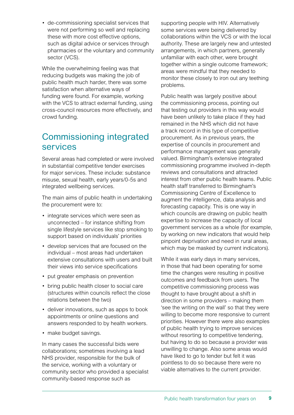• de-commissioning specialist services that were not performing so well and replacing these with more cost effective options, such as digital advice or services through pharmacies or the voluntary and community sector (VCS).

While the overwhelming feeling was that reducing budgets was making the job of public health much harder, there was some satisfaction when alternative ways of funding were found. For example, working with the VCS to attract external funding, using cross-council resources more effectively, and crowd funding.

### Commissioning integrated services

Several areas had completed or were involved in substantial competitive tender exercises for major services. These include: substance misuse, sexual health, early years/0-5s and integrated wellbeing services.

The main aims of public health in undertaking the procurement were to:

- integrate services which were seen as unconnected – for instance shifting from single lifestyle services like stop smoking to support based on individuals' priorities
- develop services that are focused on the individual – most areas had undertaken extensive consultations with users and built their views into service specifications
- put greater emphasis on prevention
- bring public health closer to social care (structures within councils reflect the close relations between the two)
- deliver innovations, such as apps to book appointments or online questions and answers responded to by health workers.
- make budget savings.

In many cases the successful bids were collaborations; sometimes involving a lead NHS provider, responsible for the bulk of the service, working with a voluntary or community sector who provided a specialist community-based response such as

supporting people with HIV. Alternatively some services were being delivered by collaborations within the VCS or with the local authority. These are largely new and untested arrangements, in which partners, generally unfamiliar with each other, were brought together within a single outcome framework; areas were mindful that they needed to monitor these closely to iron out any teething problems.

Public health was largely positive about the commissioning process, pointing out that testing out providers in this way would have been unlikely to take place if they had remained in the NHS which did not have a track record in this type of competitive procurement. As in previous years, the expertise of councils in procurement and performance management was generally valued. Birmingham's extensive integrated commissioning programme involved in-depth reviews and consultations and attracted interest from other public health teams. Public health staff transferred to Birmingham's Commissioning Centre of Excellence to augment the intelligence, data analysis and forecasting capacity. This is one way in which councils are drawing on public health expertise to increase the capacity of local government services as a whole (for example, by working on new indicators that would help pinpoint deprivation and need in rural areas, which may be masked by current indicators).

While it was early days in many services, in those that had been operating for some time the changes were resulting in positive outcomes and feedback from users. The competitive commissioning process was thought to have brought about a shift in direction in some providers – making them 'see the writing on the wall' so that they were willing to become more responsive to current priorities. However there were also examples of public health trying to improve services without resorting to competitive tendering, but having to do so because a provider was unwilling to change. Also some areas would have liked to go to tender but felt it was pointless to do so because there were no viable alternatives to the current provider.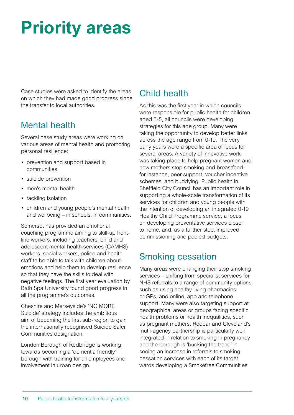# **Priority areas**

Case studies were asked to identify the areas on which they had made good progress since the transfer to local authorities.

### Mental health

Several case study areas were working on various areas of mental health and promoting personal resilience:

- prevention and support based in communities
- suicide prevention
- men's mental health
- tackling isolation
- children and young people's mental health and wellbeing – in schools, in communities.

Somerset has provided an emotional coaching programme aiming to skill-up frontline workers, including teachers, child and adolescent mental health services (CAMHS) workers, social workers, police and health staff to be able to talk with children about emotions and help them to develop resilience so that they have the skills to deal with negative feelings. The first year evaluation by Bath Spa University found good progress in all the programme's outcomes.

Cheshire and Merseyside's 'NO MORE Suicide' strategy includes the ambitious aim of becoming the first sub-region to gain the internationally recognised Suicide Safer Communities designation.

London Borough of Redbridge is working towards becoming a 'dementia friendly' borough with training for all employees and involvement in urban design.

### Child health

As this was the first year in which councils were responsible for public health for children aged 0-5, all councils were developing strategies for this age group. Many were taking the opportunity to develop better links across the age range from 0-19. The very early years were a specific area of focus for several areas. A variety of innovative work was taking place to help pregnant women and new mothers stop smoking and breastfeed – for instance, peer support, voucher incentive schemes, and buddying. Public health in Sheffield City Council has an important role in supporting a whole-scale transformation of its services for children and young people with the intention of developing an integrated 0-19 Healthy Child Programme service, a focus on developing preventative services closer to home, and, as a further step, improved commissioning and pooled budgets.

### Smoking cessation

Many areas were changing their stop smoking services – shifting from specialist services for NHS referrals to a range of community options such as using healthy living pharmacies or GPs, and online, app and telephone support. Many were also targeting support at geographical areas or groups facing specific health problems or health inequalities, such as pregnant mothers. Redcar and Cleveland's mutli-agency partnership is particularly well integrated in relation to smoking in pregnancy and the borough is 'bucking the trend' in seeing an increase in referrals to smoking cessation services with each of its target wards developing a Smokefree Communities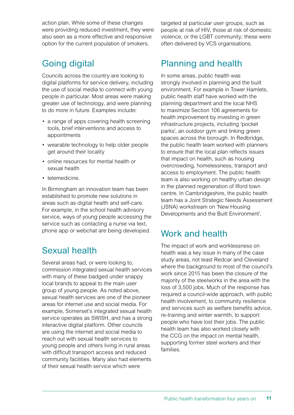action plan. While some of these changes were providing reduced investment, they were also seen as a more effective and responsive option for the current population of smokers.

### Going digital

Councils across the country are looking to digital platforms for service delivery, including the use of social media to connect with young people in particular. Most areas were making greater use of technology, and were planning to do more in future. Examples include:

- a range of apps covering health screening tools, brief interventions and access to appointments
- wearable technology to help older people get around their locality
- online resources for mental health or sexual health
- telemedicine.

In Birmingham an innovation team has been established to promote new solutions in areas such as digital health and self-care. For example, in the school health advisory service, ways of young people accessing the service such as contacting a nurse via text, phone app or webchat are being developed.

### Sexual health

Several areas had, or were looking to, commission integrated sexual health services with many of these badged under snappy local brands to appeal to the main user group of young people. As noted above, sexual health services are one of the pioneer areas for internet use and social media. For example, Somerset's integrated sexual health service operates as SWISH, and has a strong interactive digital platform. Other councils are using the internet and social media to reach out with sexual health services to young people and others living in rural areas with difficult transport access and reduced community facilities. Many also had elements of their sexual health service which were

targeted at particular user groups, such as people at risk of HIV, those at risk of domestic violence, or the LGBT community; these were often delivered by VCS organisations.

### Planning and health

In some areas, public health was strongly involved in planning and the built environment. For example in Tower Hamlets, public health staff have worked with the planning department and the local NHS to maximize Section 106 agreements for health improvement by investing in green infrastructure projects, including 'pocket parks', an outdoor gym and linking green spaces across the borough. In Redbridge, the public health team worked with planners to ensure that the local plan reflects issues that impact on health, such as housing overcrowding, homelessness, transport and access to employment. The public health team is also working on healthy urban design in the planned regeneration of Ilford town centre. In Cambridgeshire, the public health team has a Joint Strategic Needs Assessment (JSNA) workstream on 'New Housing Developments and the Built Environment'.

### Work and health

The impact of work and worklessness on health was a key issue in many of the case study areas, not least Redcar and Cleveland where the background to most of the council's work since 2015 has been the closure of the majority of the steelworks in the area with the loss of 3,500 jobs. Much of the response has required a council-wide approach, with public health involvement, to community resilience and services such as welfare benefits advice, re-training and winter warmth, to support people who have lost their jobs. The public health team has also worked closely with the CCG on the impact on mental health, supporting former steel workers and their families.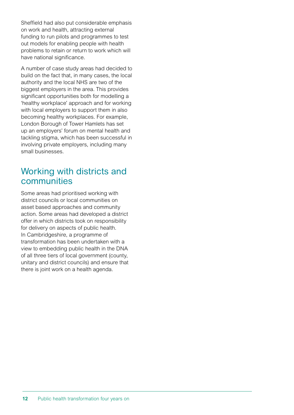Sheffield had also put considerable emphasis on work and health, attracting external funding to run pilots and programmes to test out models for enabling people with health problems to retain or return to work which will have national significance.

A number of case study areas had decided to build on the fact that, in many cases, the local authority and the local NHS are two of the biggest employers in the area. This provides significant opportunities both for modelling a 'healthy workplace' approach and for working with local employers to support them in also becoming healthy workplaces. For example, London Borough of Tower Hamlets has set up an employers' forum on mental health and tackling stigma, which has been successful in involving private employers, including many small businesses.

### Working with districts and communities

Some areas had prioritised working with district councils or local communities on asset based approaches and community action. Some areas had developed a district offer in which districts took on responsibility for delivery on aspects of public health. In Cambridgeshire, a programme of transformation has been undertaken with a view to embedding public health in the DNA of all three tiers of local government (county, unitary and district councils) and ensure that there is joint work on a health agenda.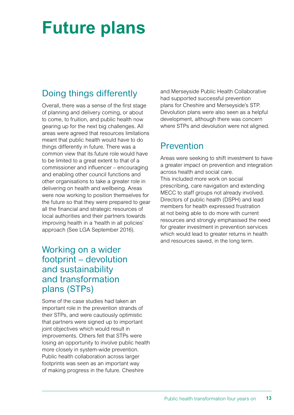# **Future plans**

### Doing things differently

Overall, there was a sense of the first stage of planning and delivery coming, or about to come, to fruition, and public health now gearing up for the next big challenges. All areas were agreed that resources limitations meant that public health would have to do things differently in future. There was a common view that its future role would have to be limited to a great extent to that of a commissioner and influencer – encouraging and enabling other council functions and other organisations to take a greater role in delivering on health and wellbeing. Areas were now working to position themselves for the future so that they were prepared to gear all the financial and strategic resources of local authorities and their partners towards improving health in a 'health in all policies' approach (See LGA September 2016).

### Working on a wider footprint – devolution and sustainability and transformation plans (STPs)

Some of the case studies had taken an important role in the prevention strands of their STPs, and were cautiously optimistic that partners were signed up to important joint objectives which would result in improvements. Others felt that STPs were losing an opportunity to involve public health more closely in system-wide prevention. Public health collaboration across larger footprints was seen as an important way of making progress in the future. Cheshire

and Merseyside Public Health Collaborative had supported successful prevention plans for Cheshire and Merseyside's STP. Devolution plans were also seen as a helpful development, although there was concern where STPs and devolution were not aligned.

### Prevention

Areas were seeking to shift investment to have a greater impact on prevention and integration across health and social care. This included more work on social prescribing, care navigation and extending MECC to staff groups not already involved. Directors of public health (DSPH) and lead members for health expressed frustration at not being able to do more with current resources and strongly emphasised the need for greater investment in prevention services which would lead to greater returns in health and resources saved, in the long term.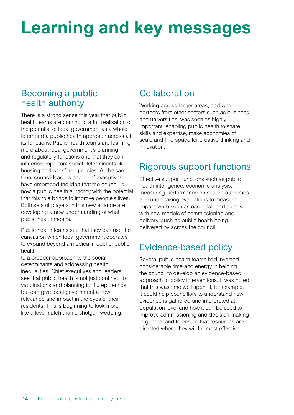# **Learning and key messages**

### Becoming a public health authority

There is a strong sense this year that public health teams are coming to a full realisation of the potential of local government as a whole to embed a public health approach across all its functions. Public health teams are learning more about local government's planning and regulatory functions and that they can influence important social determinants like housing and workforce policies. At the same time, council leaders and chief executives have embraced the idea that the council is now a public health authority with the potential that this role brings to improve people's lives. Both sets of players in this new alliance are developing a new understanding of what public health means.

Public health teams see that they can use the canvas on which local government operates to expand beyond a medical model of public health

to a broader approach to the social determinants and addressing health inequalities. Chief executives and leaders see that public health is not just confined to vaccinations and planning for flu epidemics, but can give local government a new relevance and impact in the eyes of their residents. This is beginning to look more like a love match than a shotgun wedding.

### **Collaboration**

Working across larger areas, and with partners from other sectors such as business and universities, was seen as highly important, enabling public health to share skills and expertise, make economies of scale and find space for creative thinking and innovation.

### Rigorous support functions

Effective support functions such as public health intelligence, economic analysis, measuring performance on shared outcomes and undertaking evaluations to measure impact were seen as essential, particularly with new models of commissioning and delivery, such as public health being delivered by across the council.

### Evidence-based policy

Several public health teams had invested considerable time and energy in helping the council to develop an evidence-based approach to policy interventions. It was noted that this was time well spent if, for example, it could help councillors to understand how evidence is gathered and interpreted at population level and how it can be used to improve commissioning and decision-making in general and to ensure that resources are directed where they will be most effective.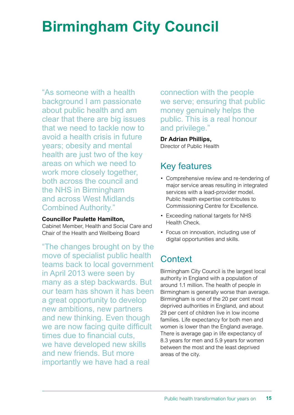# **Birmingham City Council**

"As someone with a health background I am passionate about public health and am clear that there are big issues that we need to tackle now to avoid a health crisis in future years; obesity and mental health are just two of the key areas on which we need to work more closely together, both across the council and the NHS in Birmingham and across West Midlands Combined Authority."

#### **Councillor Paulette Hamilton,**

Cabinet Member, Health and Social Care and Chair of the Health and Wellbeing Board

"The changes brought on by the move of specialist public health teams back to local government in April 2013 were seen by many as a step backwards. But our team has shown it has been a great opportunity to develop new ambitions, new partners and new thinking. Even though we are now facing quite difficult times due to financial cuts, we have developed new skills and new friends. But more importantly we have had a real

connection with the people we serve; ensuring that public money genuinely helps the public. This is a real honour and privilege."

**Dr Adrian Phillips,**

Director of Public Health

### Key features

- Comprehensive review and re-tendering of major service areas resulting in integrated services with a lead-provider model. Public health expertise contributes to Commissioning Centre for Excellence.
- Exceeding national targets for NHS Health Check.
- Focus on innovation, including use of digital opportunities and skills.

### **Context**

Birmingham City Council is the largest local authority in England with a population of around 1.1 million. The health of people in Birmingham is generally worse than average. Birmingham is one of the 20 per cent most deprived authorities in England, and about 29 per cent of children live in low income families. Life expectancy for both men and women is lower than the England average. There is average gap in life expectancy of 8.3 years for men and 5.9 years for women between the most and the least deprived areas of the city.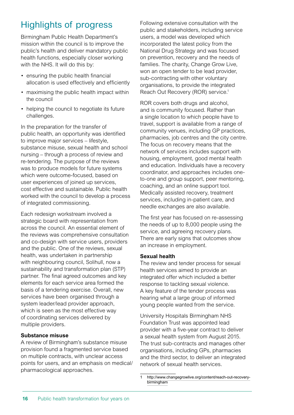### Highlights of progress

Birmingham Public Health Department's mission within the council is to improve the public's health and deliver mandatory public health functions, especially closer working with the NHS. It will do this by:

- ensuring the public health financial allocation is used effectively and efficiently
- maximising the public health impact within the council
- helping the council to negotiate its future challenges.

In the preparation for the transfer of public health, an opportunity was identified to improve major services – lifestyle, substance misuse, sexual health and school nursing – through a process of review and re-tendering. The purpose of the reviews was to produce models for future systems which were outcome-focused, based on user experiences of joined up services, cost effective and sustainable. Public health worked with the council to develop a process of integrated commissioning.

Each redesign workstream involved a strategic board with representation from across the council. An essential element of the reviews was comprehensive consultation and co-design with service users, providers and the public. One of the reviews, sexual health, was undertaken in partnership with neighbouring council, Solihull, now a sustainability and transformation plan (STP) partner. The final agreed outcomes and key elements for each service area formed the basis of a tendering exercise. Overall, new services have been organised through a system leader/lead provider approach, which is seen as the most effective way of coordinating services delivered by multiple providers.

#### **Substance misuse**

A review of Birmingham's substance misuse provision found a fragmented service based on multiple contracts, with unclear access points for users, and an emphasis on medical/ pharmacological approaches.

Following extensive consultation with the public and stakeholders, including service users, a model was developed which incorporated the latest policy from the National Drug Strategy and was focused on prevention, recovery and the needs of families. The charity, Change Grow Live, won an open tender to be lead provider, sub-contracting with other voluntary organisations, to provide the integrated [Reach Out Recovery \(ROR\) service](http://www.changegrowlive.org/content/reach-out-recovery-birmingham).<sup>1</sup>

ROR covers both drugs and alcohol, and is community focused. Rather than a single location to which people have to travel, support is available from a range of community venues, including GP practices, pharmacies, job centres and the city centre. The focus on recovery means that the network of services includes support with housing, employment, good mental health and education. Individuals have a recovery coordinator, and approaches includes oneto-one and group support, peer mentoring, coaching, and an online support tool. Medically assisted recovery, treatment services, including in-patient care, and needle exchanges are also available.

The first year has focused on re-assessing the needs of up to 8,000 people using the service, and agreeing recovery plans. There are early signs that outcomes show an increase in employment.

#### **Sexual health**

The review and tender process for sexual health services aimed to provide an integrated offer which included a better response to tackling sexual violence. A key feature of the tender process was hearing what a large group of informed young people wanted from the service.

University Hospitals Birmingham NHS Foundation Trust was appointed lead provider with a five-year contract to deliver a sexual health system from August 2015. The trust sub-contracts and manages other organisations, including GPs, pharmacies and the third sector, to deliver an integrated network of sexual health services.

<sup>1</sup> http://www.changegrowlive.org/content/reach-out-recoverybirmingham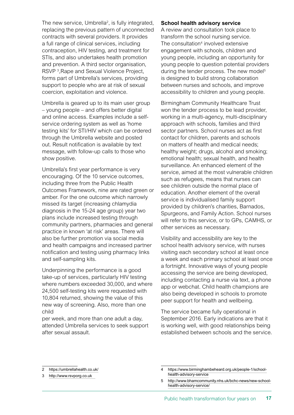The new service, Umbrella<sup>2</sup>, is fully integrated, replacing the previous pattern of unconnected contracts with several providers. It provides a full range of clinical services, including contraception, HIV testing, and treatment for STIs, and also undertakes health promotion and prevention. A third sector organisation, RSVP<sup>3</sup>, Rape and Sexual Violence Project, forms part of Umbrella's services, providing support to people who are at risk of sexual coercion, exploitation and violence.

Umbrella is geared up to its main user group – young people – and offers better digital and online access. Examples include a selfservice ordering system as well as 'home testing kits' for STI/HIV which can be ordered through the Umbrella website and posted out. Result notification is available by text message, with follow-up calls to those who show positive.

Umbrella's first year performance is very encouraging. Of the 10 service outcomes, including three from the Public Health Outcomes Framework, nine are rated green or amber. For the one outcome which narrowly missed its target (increasing chlamydia diagnosis in the 15-24 age group) year two plans include increased testing through community partners, pharmacies and general practice in known 'at risk' areas. There will also be further promotion via social media and health campaigns and increased partner notification and testing using pharmacy links and self-sampling kits.

Underpinning the performance is a good take-up of services, particularly HIV testing where numbers exceeded 30,000, and where 24,500 self-testing kits were requested with 10,804 returned, showing the value of this new way of screening. Also, more than one child

per week, and more than one adult a day, attended Umbrella services to seek support after sexual assault.

#### **School health advisory service**

A review and consultation took place to transform the school nursing service. The consultation<sup>4</sup> involved extensive engagement with schools, children and young people, including an opportunity for young people to question potential providers during the tender process. The new model<sup>5</sup> is designed to build strong collaboration between nurses and schools, and improve accessibility to children and young people.

Birmingham Community Healthcare Trust won the tender process to be lead provider, working in a multi-agency, multi-disciplinary approach with schools, families and third sector partners. School nurses act as first contact for children, parents and schools on matters of health and medical needs; healthy weight; drugs, alcohol and smoking; emotional health; sexual health, and health surveillance. An enhanced element of the service, aimed at the most vulnerable children such as refugees, means that nurses can see children outside the normal place of education. Another element of the overall service is individualised family support provided by children's charities, Barnados, Spurgeons, and Family Action. School nurses will refer to this service, or to GPs, CAMHS, or other services as necessary.

Visibility and accessibility are key to the school health advisory service, with nurses visiting each secondary school at least once a week and each primary school at least once a fortnight. Innovative ways of young people accessing the service are being developed, including contacting a nurse via text, a phone app or webchat. Child health champions are also being developed in schools to promote peer support for health and wellbeing.

The service became fully operational in September 2016. Early indications are that it is working well, with good relationships being established between schools and the service.

<sup>2</sup> https://umbrellahealth.co.uk/

http://www.rsvporg.co.uk

https://www.birminghambeheard.org.uk/people-1/schoolhealth-advisory-service

http://www.bhamcommunity.nhs.uk/bchc-news/new-schoolhealth-advisory-service/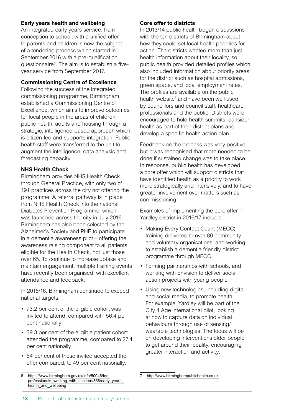#### **Early years health and wellbeing**

An integrated early years service, from conception to school, with a unified offer to parents and children is now the subject of a tendering process which started in September 2016 with a [pre-qualification](https://www.birmingham.gov.uk/info/50046/for_professionals_working_with_children/868/early_years_health_and_wellbeing)  [questionnaire6](https://www.birmingham.gov.uk/info/50046/for_professionals_working_with_children/868/early_years_health_and_wellbeing). The aim is to establish a fiveyear service from September 2017.

#### **Commissioning Centre of Excellence**

Following the success of the integrated commissioning programme, Birmingham established a Commissioning Centre of Excellence, which aims to improve outcomes for local people in the areas of children, public health, adults and housing through a strategic, intelligence-based approach which is citizen-led and supports integration. Public health staff were transferred to the unit to augment the intelligence, data analysis and forecasting capacity.

#### **NHS Health Check**

Birmingham provides NHS Health Check through General Practice, with only two of 191 practices across the city not offering the programme. A referral pathway is in place from NHS Health Check into the national Diabetes Prevention Programme, which was launched across the city in July 2016. Birmingham has also been selected by the Alzheimer's Society and PHE to participate in a dementia awareness pilot – offering the awareness raising component to all patients eligible for the Health Check, not just those over 65. To continue to increase uptake and maintain engagement, multiple training events have recently been organised, with excellent attendance and feedback.

In 2015/16, Birmingham continued to exceed national targets:

- 73.2 per cent of the eligible cohort was invited to attend, compared with 56.4 per cent nationally
- 39.3 per cent of the eligible patient cohort attended the programme, compared to 27.4 per cent nationally
- 54 per cent of those invited accepted the offer compared, to 49 per cent nationally.

#### 6 https://www.birmingham.gov.uk/info/50046/for\_ professionals\_working\_with\_children/868/early\_years\_ health\_and\_wellbeing

#### **Core offer to districts**

In 2013/14 public health began discussions with the ten districts of Birmingham about how they could set local health priorities for action. The districts wanted more than just health information about their locality, so public health provided detailed profiles which also included information about priority areas for the district such as hospital admissions, green space, and local employment rates. The profiles are available on the [public](http://www.birminghampublichealth.co.uk)  [health website](http://www.birminghampublichealth.co.uk)<sup>7</sup> and have been well used by councillors and council staff, healthcare professionals and the public. Districts were encouraged to hold health summits, consider health as part of their district plans and develop a specific health action plan.

Feedback on the process was very positive, but it was recognised that more needed to be done if sustained change was to take place. In response, public health has developed a core offer which will support districts that have identified health as a priority to work more strategically and intensively, and to have greater involvement over matters such as commissioning.

Examples of implementing the core offer in Yardley district in 2016/17 include:

- Making Every Contact Count (MECC) training delivered to over 80 community and voluntary organisations, and working to establish a dementia friendly district programme through MECC.
- Forming partnerships with schools, and working with Envision to deliver social action projects with young people.
- Using new technologies, including digital and social media, to promote health. For example, Yardley will be part of the City 4 Age international pilot, looking at how to capture data on individual behaviours through use of sensing/ wearable technologies. The focus will be on developing interventions older people to get around their locality, encouraging greater interaction and activity.

7 http://www.birminghampublichealth.co.uk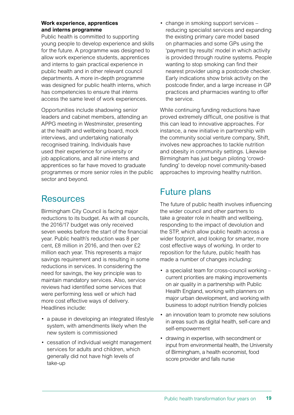#### **Work experience, apprentices and interns programme**

Public health is committed to supporting young people to develop experience and skills for the future. A programme was designed to allow work experience students, apprentices and interns to gain practical experience in public health and in other relevant council departments. A more in-depth programme was designed for public health interns, which has competencies to ensure that interns access the same level of work experiences.

Opportunities include shadowing senior leaders and cabinet members, attending an APPG meeting in Westminster, presenting at the health and wellbeing board, mock interviews, and undertaking nationally recognised training. Individuals have used their experience for university or job applications, and all nine interns and apprentices so far have moved to graduate programmes or more senior roles in the public sector and beyond.

### **Resources**

Birmingham City Council is facing major reductions to its budget. As with all councils, the 2016/17 budget was only received seven weeks before the start of the financial year. Public health's reduction was 8 per cent, £8 million in 2016, and then over £2 million each year. This represents a major savings requirement and is resulting in some reductions in services. In considering the need for savings, the key principle was to maintain mandatory services. Also, service reviews had identified some services that were performing less well or which had more cost effective ways of delivery. Headlines include:

- a pause in developing an integrated lifestyle system, with amendments likely when the new system is commissioned
- cessation of individual weight management services for adults and children, which generally did not have high levels of take-up

• change in smoking support services – reducing specialist services and expanding the existing primary care model based on pharmacies and some GPs using the 'payment by results' model in which activity is provided through routine systems. People wanting to stop smoking can find their nearest provider using a postcode checker. Early indications show brisk activity on the postcode finder, and a large increase in GP practices and pharmacies wanting to offer the service.

While continuing funding reductions have proved extremely difficult, one positive is that this can lead to innovative approaches. For instance, a new initiative in partnership with the community social venture company, [Shift](http://www.shiftdesign.org.uk/), involves new approaches to tackle nutrition and obesity in community settings. Likewise Birmingham has just begun piloting 'crowdfunding' to develop novel community-based approaches to improving healthy nutrition.

### Future plans

The future of public health involves influencing the wider council and other partners to take a greater role in health and wellbeing, responding to the impact of devolution and the STP, which allow public health across a wider footprint, and looking for smarter, more cost effective ways of working. In order to reposition for the future, public health has made a number of changes including:

- a specialist team for cross-council working current priorities are making improvements on air quality in a partnership with Public Health England, working with planners on major urban development, and working with business to adopt nutrition friendly policies
- an innovation team to promote new solutions in areas such as digital health, self-care and self-empowerment
- drawing in expertise, with secondment or input from environmental health, the University of Birmingham, a health economist, food score provider and falls nurse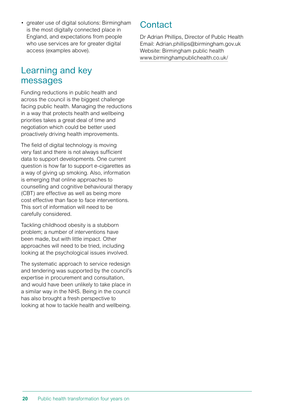• greater use of digital solutions: Birmingham is the most digitally connected place in England, and expectations from people who use services are for greater digital access (examples above).

### Learning and key messages

Funding reductions in public health and across the council is the biggest challenge facing public health. Managing the reductions in a way that protects health and wellbeing priorities takes a great deal of time and negotiation which could be better used proactively driving health improvements.

The field of digital technology is moving very fast and there is not always sufficient data to support developments. One current question is how far to support e-cigarettes as a way of giving up smoking. Also, information is emerging that online approaches to counselling and cognitive behavioural therapy (CBT) are effective as well as being more cost effective than face to face interventions. This sort of information will need to be carefully considered.

Tackling childhood obesity is a stubborn problem; a number of interventions have been made, but with little impact. Other approaches will need to be tried, including looking at the psychological issues involved.

The systematic approach to service redesign and tendering was supported by the council's expertise in procurement and consultation, and would have been unlikely to take place in a similar way in the NHS. Being in the council has also brought a fresh perspective to looking at how to tackle health and wellbeing.

### **Contact**

Dr Adrian Phillips, Director of Public Health Email: Adrian.phillips@birmingham.gov.uk Website: Birmingham public health www.[birminghampublichealth.co.uk/](http://birminghampublichealth.co.uk/)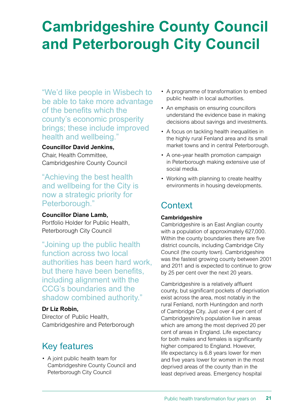## **Cambridgeshire County Council and Peterborough City Council**

"We'd like people in Wisbech to be able to take more advantage of the benefits which the county's economic prosperity brings; these include improved health and wellbeing."

#### **Councillor David Jenkins,**

Chair, Health Committee, Cambridgeshire County Council

"Achieving the best health and wellbeing for the City is now a strategic priority for Peterborough."

#### **Councillor Diane Lamb,**

Portfolio Holder for Public Health, Peterborough City Council

"Joining up the public health function across two local authorities has been hard work, but there have been benefits, including alignment with the CCG's boundaries and the shadow combined authority."

#### **Dr Liz Robin,**

Director of Public Health, Cambridgeshire and Peterborough

### Key features

• A joint public health team for Cambridgeshire County Council and Peterborough City Council

- A programme of transformation to embed public health in local authorities.
- An emphasis on ensuring councillors understand the evidence base in making decisions about savings and investments.
- A focus on tackling health inequalities in the highly rural Fenland area and its small market towns and in central Peterborough.
- A one-year health promotion campaign in Peterborough making extensive use of social media.
- Working with planning to create healthy environments in housing developments.

### **Context**

#### **Cambridgeshire**

Cambridgeshire is an East Anglian county with a population of approximately 627,000. Within the county boundaries there are five district councils, including Cambridge City Council (the county town). Cambridgeshire was the fastest growing county between 2001 and 2011 and is expected to continue to grow by 25 per cent over the next 20 years.

Cambridgeshire is a relatively affluent county, but significant pockets of deprivation exist across the area, most notably in the rural Fenland, north Huntingdon and north of Cambridge City. Just over 4 per cent of Cambridgeshire's population live in areas which are among the most deprived 20 per cent of areas in England. Life expectancy for both males and females is significantly higher compared to England. However, life expectancy is 6.8 years lower for men and five years lower for women in the most deprived areas of the county than in the least deprived areas. Emergency hospital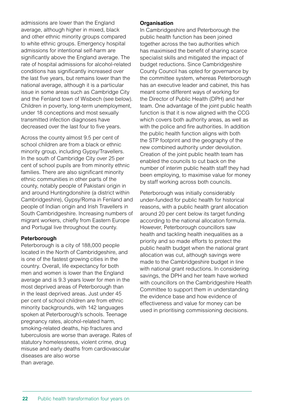admissions are lower than the England average, although higher in mixed, black and other ethnic minority groups compared to white ethnic groups. Emergency hospital admissions for intentional self-harm are significantly above the England average. The rate of hospital admissions for alcohol-related conditions has significantly increased over the last five years, but remains lower than the national average, although it is a particular issue in some areas such as Cambridge City and the Fenland town of Wisbech (see below). Children in poverty, long-term unemployment, under 18 conceptions and most sexually transmitted infection diagnoses have decreased over the last four to five years.

Across the county almost 9.5 per cent of school children are from a black or ethnic minority group, including Gypsy/Travellers. In the south of Cambridge City over 25 per cent of school pupils are from minority ethnic families. There are also significant minority ethnic communities in other parts of the county, notably people of Pakistani origin in and around Huntingdonshire (a district within Cambridgeshire), Gypsy/Roma in Fenland and people of Indian origin and Irish Travellers in South Cambridgeshire. Increasing numbers of migrant workers, chiefly from Eastern Europe and Portugal live throughout the county.

#### **Peterborough**

Peterborough is a city of 188,000 people located in the North of Cambridgeshire, and is one of the fastest growing cities in the country. Overall, life expectancy for both men and women is lower than the England average and is 9.3 years lower for men in the most deprived areas of Peterborough than in the least deprived areas. Just under 45 per cent of school children are from ethnic minority backgrounds, with 142 languages spoken at Peterborough's schools. Teenage pregnancy rates, alcohol-related harm, smoking-related deaths, hip fractures and tuberculosis are worse than average. Rates of statutory homelessness, violent crime, drug misuse and early deaths from cardiovascular diseases are also worse than average.

#### **Organisation**

In Cambridgeshire and Peterborough the public health function has been joined together across the two authorities which has maximised the benefit of sharing scarce specialist skills and mitigated the impact of budget reductions. Since Cambridgeshire County Council has opted for governance by the committee system, whereas Peterborough has an executive leader and cabinet, this has meant some different ways of working for the Director of Public Health (DPH) and her team. One advantage of the joint public health function is that it is now aligned with the CCG which covers both authority areas, as well as with the police and fire authorities. In addition the public health function aligns with both the STP footprint and the geography of the new combined authority under devolution. Creation of the joint public health team has enabled the councils to cut back on the number of interim public health staff they had been employing, to maximise value for money by staff working across both councils.

Peterborough was initially considerably under-funded for public health for historical reasons, with a public health grant allocation around 20 per cent below its target funding according to the national allocation formula. However, Peterborough councillors saw health and tackling health inequalities as a priority and so made efforts to protect the public health budget when the national grant allocation was cut, although savings were made to the Cambridgeshire budget in line with national grant reductions. In considering savings, the DPH and her team have worked with councillors on the Cambridgeshire Health Committee to support them in understanding the evidence base and how evidence of effectiveness and value for money can be used in prioritising commissioning decisions.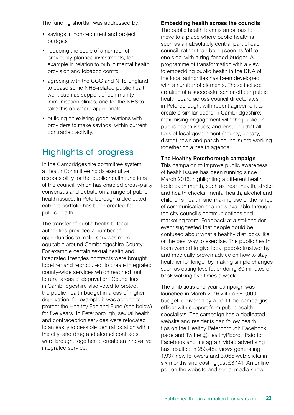The funding shortfall was addressed by:

- savings in non-recurrent and project budgets
- reducing the scale of a number of previously planned investments, for example in relation to public mental health provision and tobacco control
- agreeing with the CCG and NHS England to cease some NHS-related public health work such as support of community immunisation clinics, and for the NHS to take this on where appropriate
- building on existing good relations with providers to make savings within current contracted activity.

### Highlights of progress

In the Cambridgeshire committee system, a Health Committee holds executive responsibility for the public health functions of the council, which has enabled cross-party consensus and debate on a range of public health issues. In Peterborough a dedicated cabinet portfolio has been created for public health.

The transfer of public health to local authorities provided a number of opportunities to make services more equitable around Cambridgeshire County. For example certain sexual health and integrated lifestyles contracts were brought together and reprocured to create integrated county-wide services which reached out to rural areas of deprivation. Councillors in Cambridgeshire also voted to protect the public health budget in areas of higher deprivation, for example it was agreed to protect the Healthy Fenland Fund (see below) for five years. In Peterborough, sexual health and contraception services were relocated to an easily accessible central location within the city, and drug and alcohol contracts were brought together to create an innovative integrated service.

#### **Embedding health across the councils**

The public health team is ambitious to move to a place where public health is seen as an absolutely central part of each council, rather than being seen as 'off to one side' with a ring-fenced budget. A programme of transformation with a view to embedding public health in the DNA of the local authorities has been developed with a number of elements. These include creation of a successful senior officer public health board across council directorates in Peterborough, with recent agreement to create a similar board in Cambridgeshire; maximising engagement with the public on public health issues; and ensuring that all tiers of local government (county, unitary, district, town and parish councils) are working together on a health agenda.

#### **The Healthy Peterborough campaign**

This campaign to improve public awareness of health issues has been running since March 2016, highlighting a different health topic each month, such as heart health, stroke and health checks, mental health, alcohol and children's health, and making use of the range of communication channels available through the city council's communications and marketing team. Feedback at a stakeholder event suggested that people could be confused about what a healthy diet looks like or the best way to exercise. The public health team wanted to give local people trustworthy and medically proven advice on how to stay healthier for longer by making simple changes such as eating less fat or doing 30 minutes of brisk walking five times a week.

The ambitious one-year campaign was launched in March 2016 with a £60,000 budget, delivered by a part-time campaigns officer with support from public health specialists. The campaign has a [dedicated](http://www.healthypeterborough.org.uk/december-2016-festive-health)  [website](http://www.healthypeterborough.org.uk/december-2016-festive-health) and residents can follow health tips on the [Healthy Peterborough Facebook](https://www.facebook.com/healthypboro/)  [page](https://www.facebook.com/healthypboro/) and [Twitter @HealthyPboro.](https://twitter.com/HealthyPboro) 'Paid for' Facebook and Instagram video advertising has resulted in 283,482 views generating 1,937 new followers and 3,066 web clicks in six months and costing just £3,141. An online poll on the website and social media show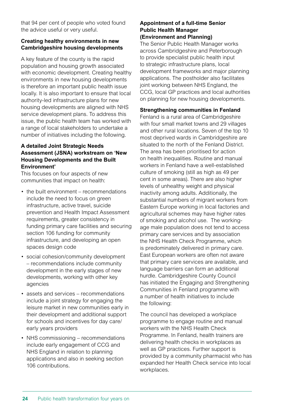that 94 per cent of people who voted found the advice useful or very useful.

#### **Creating healthy environments in new Cambridgeshire housing developments**

A key feature of the county is the rapid population and housing growth associated with economic development. Creating healthy environments in new housing developments is therefore an important public health issue locally. It is also important to ensure that local authority-led infrastructure plans for new housing developments are aligned with NHS service development plans. To address this issue, the public health team has worked with a range of local stakeholders to undertake a number of initiatives including the following.

#### **A detailed Joint Strategic Needs Assessment (JSNA) workstream on 'New Housing Developments and the Built Environment'**

This focuses on four aspects of new communities that impact on health:

- the built environment recommendations include the need to focus on green infrastructure, active travel, suicide prevention and Health Impact Assessment requirements, greater consistency in funding primary care facilities and securing section 106 funding for community infrastructure, and developing an open spaces design code
- social cohesion/community development – recommendations include community development in the early stages of new developments, working with other key agencies
- assets and services recommendations include a joint strategy for engaging the leisure market in new communities early in their development and additional support for schools and incentives for day care/ early years providers
- NHS commissioning recommendations include early engagement of CCG and NHS England in relation to planning applications and also in seeking section 106 contributions.

#### **Appointment of a full-time Senior Public Health Manager (Environment and Planning)**

The Senior Public Health Manager works across Cambridgeshire and Peterborough to provide specialist public health input to strategic infrastructure plans, local development frameworks and major planning applications. The postholder also facilitates joint working between NHS England, the CCG, local GP practices and local authorities on planning for new housing developments.

**Strengthening communities in Fenland**

Fenland is a rural area of Cambridgeshire with four small market towns and 29 villages and other rural locations. Seven of the top 10 most deprived wards in Cambridgeshire are situated to the north of the Fenland District. The area has been prioritised for action on health inequalities. Routine and manual workers in Fenland have a well-established culture of smoking (still as high as 49 per cent in some areas). There are also higher levels of unhealthy weight and physical inactivity among adults. Additionally, the substantial numbers of migrant workers from Eastern Europe working in local factories and agricultural schemes may have higher rates of smoking and alcohol use. The workingage male population does not tend to access primary care services and by association the NHS Health Check Programme, which is predominately delivered in primary care. East European workers are often not aware that primary care services are available, and language barriers can form an additional hurdle. Cambridgeshire County Council has initiated the Engaging and Strengthening Communities in Fenland programme with a number of health initiatives to include the following:

The council has developed a workplace programme to engage routine and manual workers with the NHS Health Check Programme. In Fenland, health trainers are delivering health checks in workplaces as well as GP practices. Further support is provided by a community pharmacist who has expanded her Health Check service into local workplaces.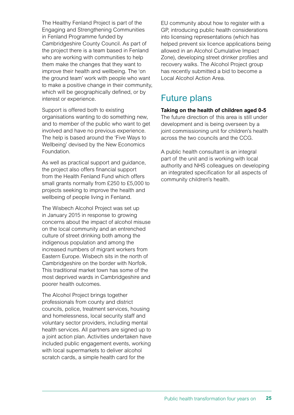The Healthy Fenland Project is part of the Engaging and Strengthening Communities in Fenland Programme funded by Cambridgeshire County Council. As part of the project there is a team based in Fenland who are working with communities to help them make the changes that they want to improve their health and wellbeing. The 'on the ground team' work with people who want to make a positive change in their community, which will be geographically defined, or by interest or experience.

Support is offered both to existing organisations wanting to do something new, and to member of the public who want to get involved and have no previous experience. The help is based around the 'Five Ways to Wellbeing' devised by the New Economics Foundation.

As well as practical support and guidance, the project also offers financial support from the Health Fenland Fund which offers small grants normally from £250 to £5,000 to projects seeking to improve the health and wellbeing of people living in Fenland.

The Wisbech Alcohol Project was set up in January 2015 in response to growing concerns about the impact of alcohol misuse on the local community and an entrenched culture of street drinking both among the indigenous population and among the increased numbers of migrant workers from Eastern Europe. Wisbech sits in the north of Cambridgeshire on the border with Norfolk. This traditional market town has some of the most deprived wards in Cambridgeshire and poorer health outcomes.

The Alcohol Project brings together professionals from county and district councils, police, treatment services, housing and homelessness, local security staff and voluntary sector providers, including mental health services. All partners are signed up to a joint action plan. Activities undertaken have included public engagement events, working with local supermarkets to deliver alcohol scratch cards, a simple health card for the

EU community about how to register with a GP, introducing public health considerations into licensing representations (which has helped prevent six licence applications being allowed in an Alcohol Cumulative Impact Zone), developing street drinker profiles and recovery walks. The Alcohol Project group has recently submitted a bid to become a Local Alcohol Action Area.

### Future plans

**Taking on the health of children aged 0-5** The future direction of this area is still under development and is being overseen by a joint commissioning unit for children's health across the two councils and the CCG.

A public health consultant is an integral part of the unit and is working with local authority and NHS colleagues on developing an integrated specification for all aspects of community children's health.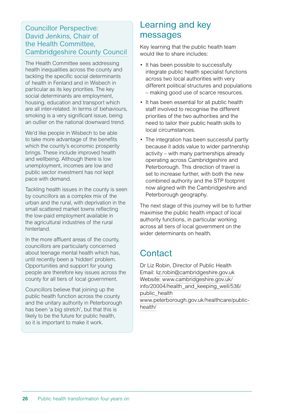#### Councillor Perspective: David Jenkins, Chair of the Health Committee, Cambridgeshire County Council

The Health Committee sees addressing health inequalities across the county and tackling the specific social determinants of health in Fenland and in Wisbech in particular as its key priorities. The key social determinants are employment, housing, education and transport which are all inter-related. In terms of behaviours, smoking is a very significant issue, being an outlier on the national downward trend.

We'd like people in Wisbech to be able to take more advantage of the benefits which the county's economic prosperity brings. These include improved health and wellbeing. Although there is low unemployment, incomes are low and public sector investment has not kept pace with demand.

Tackling health issues in the county is seen by councillors as a complex mix of the urban and the rural, with deprivation in the small scattered market towns reflecting the low-paid employment available in the agricultural industries of the rural hinterland.

In the more affluent areas of the county, councillors are particularly concerned about teenage mental health which has, until recently been a 'hidden' problem. Opportunities and support for young people are therefore key issues across the county for all tiers of local government.

Councillors believe that joining up the public health function across the county and the unitary authority in Peterborough has been 'a big stretch', but that this is likely to be the future for public health, so it is important to make it work.

### Learning and key messages

Key learning that the public health team would like to share includes:

- It has been possible to successfully integrate public health specialist functions across two local authorities with very different political structures and populations – making good use of scarce resources.
- It has been essential for all public health staff involved to recognise the different priorities of the two authorities and the need to tailor their public health skills to local circumstances.
- The integration has been successful partly because it adds value to wider partnership activity – with many partnerships already operating across Cambridgeshire and Peterborough. This direction of travel is set to increase further, with both the new combined authority and the STP footprint now aligned with the Cambridgeshire and Peterborough geography.

The next stage of this journey will be to further maximise the public health impact of local authority functions, in particular working across all tiers of local government on the wider determinants on health.

### **Contact**

Dr Liz Robin, Director of Public Health Email: [liz.robin@cambridgeshire.gov.uk](mailto:liz.robin@cambridgeshire.gov.uk) Website: [www.cambridgeshire.gov.uk/](http://www4.cambridgeshire.gov.uk/info/20004/health_and_keeping_well/536/public_health) [info/20004/health\\_and\\_keeping\\_well/536/](http://www4.cambridgeshire.gov.uk/info/20004/health_and_keeping_well/536/public_health) [public\\_health](http://www4.cambridgeshire.gov.uk/info/20004/health_and_keeping_well/536/public_health) [www.peterborough.gov.uk/healthcare/public](https://www.peterborough.gov.uk/healthcare/public-health/)[health/](https://www.peterborough.gov.uk/healthcare/public-health/)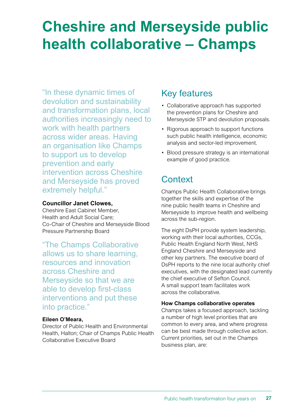## **Cheshire and Merseyside public health collaborative – Champs**

"In these dynamic times of devolution and sustainability and transformation plans, local authorities increasingly need to work with health partners across wider areas. Having an organisation like Champs to support us to develop prevention and early intervention across Cheshire and Merseyside has proved extremely helpful."

#### **Councillor Janet Clowes,**

Cheshire East Cabinet Member, Health and Adult Social Care; Co-Chair of Cheshire and Merseyside Blood Pressure Partnership Board

"The Champs Collaborative allows us to share learning, resources and innovation across Cheshire and Merseyside so that we are able to develop first-class interventions and put these into practice."

#### **Eileen O'Meara,**

Director of Public Health and Environmental Health, Halton; Chair of Champs Public Health Collaborative Executive Board

### Key features

- Collaborative approach has supported the prevention plans for Cheshire and Merseyside STP and devolution proposals.
- Rigorous approach to support functions such public health intelligence, economic analysis and sector-led improvement.
- Blood pressure strategy is an international example of good practice.

### **Context**

Champs Public Health Collaborative brings together the skills and expertise of the nine public health teams in Cheshire and Merseyside to improve health and wellbeing across the sub-region.

The eight DsPH provide system leadership, working with their local authorities, CCGs, Public Health England North West, NHS England Cheshire and Merseyside and other key partners. The executive board of DsPH reports to the nine local authority chief executives, with the designated lead currently the chief executive of Sefton Council. A small support team facilitates work across the collaborative.

#### **How Champs collaborative operates**

Champs takes a focused approach, tackling a number of high level priorities that are common to every area, and where progress can be best made through collective action. Current priorities, set out in the Champs business plan, are: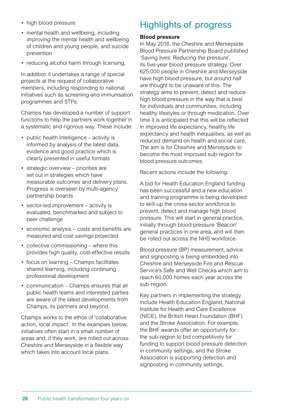- high blood pressure
- mental health and wellbeing, including improving the mental health and wellbeing of children and young people, and suicide prevention
- reducing alcohol harm through licensing.

In addition it undertakes a range of special projects at the request of collaborative members, including responding to national initiatives such as screening and immunisation programmes and STPs.

Champs has developed a number of support functions to help the partners work together in a systematic and rigorous way. These include:

- public health intelligence activity is informed by analysis of the latest data, evidence and good practice which is clearly presented in useful formats
- strategic overview priorities are set out in strategies which have measurable outcomes and delivery plans. Progress is overseen by multi-agency partnership boards
- sector-led improvement activity is evaluated, benchmarked and subject to peer challenge
- economic analysis costs and benefits are measured and cost savings projected
- collective commissioning where this provides high quality, cost-effective results
- focus on learning Champs facilitates shared learning, including continuing professional development
- communication Champs ensures that all public health teams and interested parties are aware of the latest developments from Champs, its partners and beyond.

Champs works to the ethos of 'collaborative action, local impact'. In the examples below, initiatives often start in a small number of areas and, if they work, are rolled out across Cheshire and Merseyside in a flexible way which takes into account local plans.

### Highlights of progress

#### **Blood pressure**

In May 2016, the Cheshire and Merseyside Blood Pressure Partnership Board published 'Saving lives: Reducing the pressure', its five-year blood pressure strategy. Over 625,000 people in Cheshire and Merseyside have high blood pressure, but around half are thought to be unaware of this. The strategy aims to prevent, detect and reduce high blood pressure in the way that is best for individuals and communities, including healthy lifestyles or through medication. Over time it is anticipated that this will be reflected in improved life expectancy, healthy life expectancy and health inequalities, as well as reduced demand on health and social care. The aim is for Cheshire and Merseyside to become the most improved sub-region for blood pressure outcomes.

Recent actions include the following:

A bid for Health Education England funding has been successful and a new education and training programme is being developed to skill-up the cross-sector workforce to prevent, detect and manage high blood pressure. This will start in general practice, initially through blood pressure 'Beacon' general practices in one area, and will then be rolled out across the NHS workforce.

Blood pressure (BP) measurement, advice and signposting is being embedded into Cheshire and Merseyside Fire and Rescue Service's Safe and Well Checks which aim to reach 60,000 homes each year across the sub-region.

Key partners in implementing the strategy include Health Education England, National Institute for Health and Care Excellence (NICE), the British Heart Foundation (BHF) and the Stroke Association. For example, the BHF awards offer an opportunity for the sub-region to bid competitively for funding to support blood pressure detection in community settings, and the Stroke Association is supporting detection and signposting in community settings.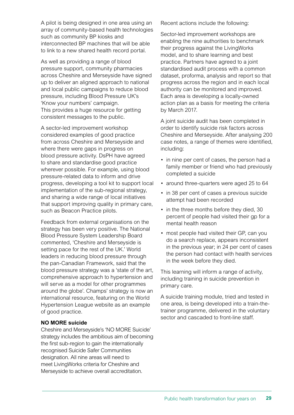A pilot is being designed in one area using an array of community-based health technologies such as community BP kiosks and interconnected BP machines that will be able to link to a new shared health record portal.

As well as providing a range of blood pressure support, community pharmacies across Cheshire and Merseyside have signed up to deliver an aligned approach to national and local public campaigns to reduce blood pressure, including Blood Pressure UK's 'Know your numbers' campaign. This provides a huge resource for getting consistent messages to the public.

A sector-led improvement workshop considered examples of good practice from across Cheshire and Merseyside and where there were gaps in progress on blood pressure activity. DsPH have agreed to share and standardise good practice wherever possible. For example, using blood pressure-related data to inform and drive progress, developing a tool kit to support local implementation of the sub-regional strategy, and sharing a wide range of local initiatives that support improving quality in primary care, such as Beacon Practice pilots.

Feedback from external organisations on the strategy has been very positive. The National Blood Pressure System Leadership Board commented, 'Cheshire and Merseyside is setting pace for the rest of the UK.' World leaders in reducing blood pressure through the pan-Canadian Framework, said that the blood pressure strategy was a 'state of the art, comprehensive approach to hypertension and will serve as a model for other programmes around the globe'. Champs' strategy is now an international resource, featuring on the World Hypertension League website as an example of good practice.

#### **NO MORE suicide**

Cheshire and Merseyside's 'NO MORE Suicide' strategy includes the ambitious aim of becoming the first sub-region to gain the internationally recognised Suicide Safer Communities designation. All nine areas will need to meet [LivingWorks](https://www.livingworks.net/) criteria for Cheshire and Merseyside to achieve overall accreditation.

Recent actions include the following:

Sector-led improvement workshops are enabling the nine authorities to benchmark their progress against the LivingWorks model, and to share learning and best practice. Partners have agreed to a joint standardised audit process with a common dataset, proforma, analysis and report so that progress across the region and in each local authority can be monitored and improved. Each area is developing a locally-owned action plan as a basis for meeting the criteria by March 2017.

A joint suicide audit has been completed in order to identify suicide risk factors across Cheshire and Merseyside. After analysing 200 case notes, a range of themes were identified, including:

- in nine per cent of cases, the person had a family member or friend who had previously completed a suicide
- around three-quarters were aged 25 to 64
- in 38 per cent of cases a previous suicide attempt had been recorded
- in the three months before they died, 30 percent of people had visited their gp for a mental health reason
- most people had visited their GP, can you do a search replace, appears inconsistent in the previous year; in 24 per cent of cases the person had contact with health services in the week before they died.

This learning will inform a range of activity, including training in suicide prevention in primary care.

A suicide training module, tried and tested in one area, is being developed into a train-thetrainer programme, delivered in the voluntary sector and cascaded to front-line staff.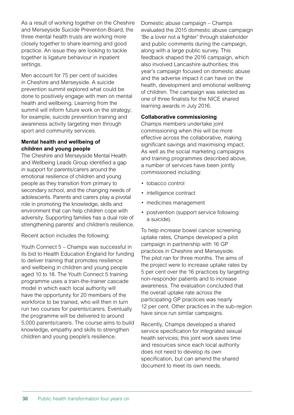As a result of working together on the Cheshire and Merseyside Suicide Prevention Board, the three mental health trusts are working more closely together to share learning and good practice. An issue they are looking to tackle together is ligature behaviour in inpatient settings.

Men account for 75 per cent of suicides in Cheshire and Merseyside. A suicide prevention summit explored what could be done to positively engage with men on mental health and wellbeing. Learning from the summit will inform future work on the strategy; for example, suicide prevention training and awareness activity targeting men through sport and community services.

#### **Mental health and wellbeing of children and young people**

The Cheshire and Merseyside Mental Health and Wellbeing Leads Group identified a gap in support for parents/carers around the emotional resilience of children and young people as they transition from primary to secondary school, and the changing needs of adolescents. Parents and carers play a pivotal role in promoting the knowledge, skills and environment that can help children cope with adversity. Supporting families has a dual role of strengthening parents' and children's resilience.

Recent action includes the following:

Youth Connect 5 – Champs was successful in its bid to Health Education England for funding to deliver training that promotes resilience and wellbeing in children and young people aged 10 to 18. The Youth Connect 5 training programme uses a train-the-trainer cascade model in which each local authority will have the opportunity for 20 members of the workforce to be trained, who will then in turn run two courses for parents/carers. Eventually the programme will be delivered to around 5,000 parents/carers. The course aims to build knowledge, empathy and skills to strengthen children and young people's resilience.

Domestic abuse campaign – Champs evaluated the 2015 domestic abuse campaign 'Be a lover not a fighter' through stakeholder and public comments during the campaign, along with a large public survey. This feedback shaped the 2016 campaign, which also involved Lancashire authorities; this year's campaign focused on domestic abuse and the adverse impact it can have on the health, development and emotional wellbeing of children. The campaign was selected as one of three finalists for the NICE shared learning awards in July 2016.

#### **Collaborative commissioning**

Champs members undertake joint commissioning when this will be more effective across the collaborative, making significant savings and maximising impact. As well as the social marketing campaigns and training programmes described above, a number of services have been jointly commissioned including:

- tobacco control
- intelligence contract
- medicines management
- postvention (support service following a suicide).

To help increase bowel cancer screening uptake rates, Champs developed a pilot campaign in partnership with 16 GP practices in Cheshire and Merseyside. The pilot ran for three months. The aims of the project were to increase uptake rates by 5 per cent over the 16 practices by targeting non-responder patients and to increase awareness. The evaluation concluded that the overall uptake rate across the participating GP practices was nearly 12 per cent. Other practices in the sub-region have since run similar campaigns.

Recently, Champs developed a shared service specification for integrated sexual health services; this joint work saves time and resources since each local authority does not need to develop its own specification, but can amend the shared document to meet its own needs.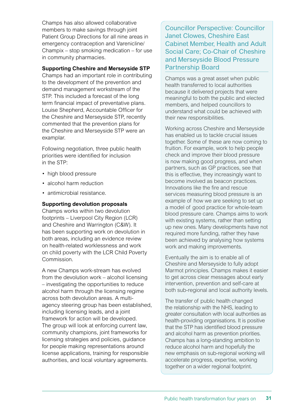Champs has also allowed collaborative members to make savings through joint Patient Group Directions for all nine areas in emergency contraception and Varenicline/ Champix – stop smoking medication – for use in community pharmacies.

#### **Supporting Cheshire and Merseyside STP**

Champs had an important role in contributing to the development of the prevention and demand management workstream of the STP. This included a forecast of the long term financial impact of preventative plans. Louise Shepherd, Accountable Officer for the Cheshire and Merseyside STP, recently commented that the prevention plans for the Cheshire and Merseyside STP were an examplar.

Following negotiation, three public health priorities were identified for inclusion in the STP:

- high blood pressure
- alcohol harm reduction
- antimicrobial resistance

#### **Supporting devolution proposals**

Champs works within two devolution footprints – Liverpool City Region (LCR) and Cheshire and Warrington (C&W). It has been supporting work on devolution in both areas, including an evidence review on health-related worklessness and work on child poverty with the LCR Child Poverty Commission.

A new Champs work-stream has evolved from the devolution work – alcohol licensing – investigating the opportunities to reduce alcohol harm through the licensing regime across both devolution areas. A multiagency steering group has been established, including licensing leads, and a joint framework for action will be developed. The group will look at enforcing current law, community champions, joint frameworks for licensing strategies and policies, guidance for people making representations around license applications, training for responsible authorities, and local voluntary agreements.

Councillor Perspective: Councillor Janet Clowes, Cheshire East Cabinet Member, Health and Adult Social Care; Co-Chair of Cheshire and Merseyside Blood Pressure Partnership Board

Champs was a great asset when public health transferred to local authorities because it delivered projects that were meaningful to both the public and elected members, and helped councillors to understand what could be achieved with their new responsibilities.

Working across Cheshire and Merseyside has enabled us to tackle crucial issues together. Some of these are now coming to fruition. For example, work to help people check and improve their blood pressure is now making good progress, and when partners, such as GP practices, see that this is effective, they increasingly want to become involved as beacon practices. Innovations like the fire and rescue services measuring blood pressure is an example of how we are seeking to set up a model of good practice for whole-team blood pressure care. Champs aims to work with existing systems, rather than setting up new ones. Many developments have not required more funding, rather they have been achieved by analysing how systems work and making improvements.

Eventually the aim is to enable all of Cheshire and Merseyside to fully adopt Marmot principles. Champs makes it easier to get across clear messages about early intervention, prevention and self-care at both sub-regional and local authority levels.

The transfer of public health changed the relationship with the NHS, leading to greater consultation with local authorities as health-providing organisations. It is positive that the STP has identified blood pressure and alcohol harm as prevention priorities. Champs has a long-standing ambition to reduce alcohol harm and hopefully the new emphasis on sub-regional working will accelerate progress, expertise, working together on a wider regional footprint.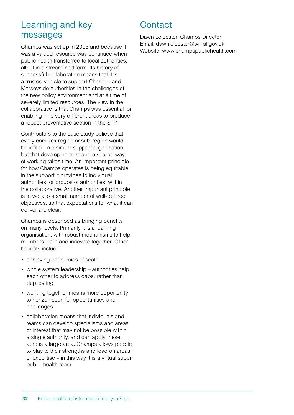### **Contact**

Learning and key messages

Champs was set up in 2003 and because it was a valued resource was continued when public health transferred to local authorities, albeit in a streamlined form. Its history of successful collaboration means that it is a trusted vehicle to support Cheshire and Merseyside authorities in the challenges of the new policy environment and at a time of severely limited resources. The view in the collaborative is that Champs was essential for enabling nine very different areas to produce a robust preventative section in the STP.

Contributors to the case study believe that every complex region or sub-region would benefit from a similar support organisation, but that developing trust and a shared way of working takes time. An important principle for how Champs operates is being equitable in the support it provides to individual authorities, or groups of authorities, within the collaborative. Another important principle is to work to a small number of well-defined objectives, so that expectations for what it can deliver are clear.

Champs is described as bringing benefits on many levels. Primarily it is a learning organisation, with robust mechanisms to help members learn and innovate together. Other benefits include:

- achieving economies of scale
- whole system leadership authorities help each other to address gaps, rather than duplicating
- working together means more opportunity to horizon scan for opportunities and challenges
- collaboration means that individuals and teams can develop specialisms and areas of interest that may not be possible within a single authority, and can apply these across a large area. Champs allows people to play to their strengths and lead on areas of expertise – in this way it is a virtual super public health team.

Dawn Leicester, Champs Director Email: dawnleicester@wirral.gov.uk Website: [www.champspublichealth.com](http://www.champspublichealth.com/)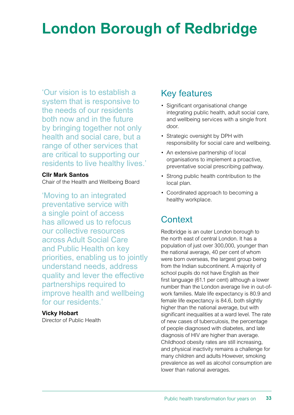## **London Borough of Redbridge**

'Our vision is to establish a system that is responsive to the needs of our residents both now and in the future by bringing together not only health and social care, but a range of other services that are critical to supporting our residents to live healthy lives.'

#### **Cllr Mark Santos**

Chair of the Health and Wellbeing Board

'Moving to an integrated preventative service with a single point of access has allowed us to refocus our collective resources across Adult Social Care and Public Health on key priorities, enabling us to jointly understand needs, address quality and lever the effective partnerships required to improve health and wellbeing for our residents.'

#### **Vicky Hobart**

Director of Public Health

### Key features

- Significant organisational change integrating public health, adult social care, and wellbeing services with a single front door.
- Strategic oversight by DPH with responsibility for social care and wellbeing.
- An extensive partnership of local organisations to implement a proactive, preventative social prescribing pathway.
- Strong public health contribution to the local plan.
- Coordinated approach to becoming a healthy workplace.

### **Context**

Redbridge is an outer London borough to the north east of central London. It has a population of just over 300,000, younger than the national average, 40 per cent of whom were born overseas, the largest group being from the Indian subcontinent. A majority of school pupils do not have English as their first language (61.1 per cent) although a lower number than the London average live in out-ofwork families. Male life expectancy is 80.9 and female life expectancy is 84.6, both slightly higher than the national average, but with significant inequalities at a ward level. The rate of new cases of tuberculosis, the percentage of people diagnosed with diabetes, and late diagnosis of HIV are higher than average. Childhood obesity rates are still increasing, and physical inactivity remains a challenge for many children and adults However, smoking prevalence as well as alcohol consumption are lower than national averages.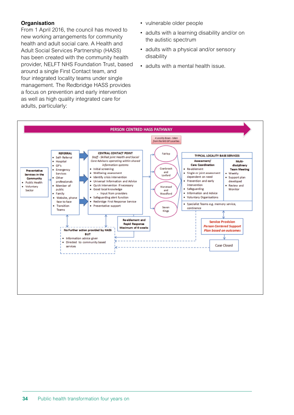#### **Organisation**

From 1 April 2016, the council has moved to new working arrangements for community health and adult social care. A Health and Adult Social Services Partnership (HASS) has been created with the community health provider, NELFT NHS Foundation Trust, based around a single First Contact team, and four integrated locality teams under single management. The Redbridge HASS provides a focus on prevention and early intervention as well as high quality integrated care for adults, particularly:

- vulnerable older people
- adults with a learning disability and/or on the autistic spectrum
- adults with a physical and/or sensory disability
- adults with a mental health issue.

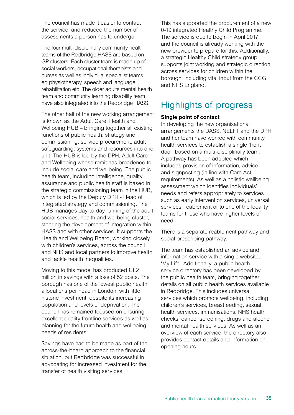The council has made it easier to contact the service, and reduced the number of assessments a person has to undergo.

The four multi-disciplinary community health teams of the Redbridge HASS are based on GP clusters. Each cluster team is made up of social workers, occupational therapists and nurses as well as individual specialist teams eg physiotherapy, speech and language, rehabilitation etc. The older adults mental health team and community learning disability team have also integrated into the Redbridge HASS.

The other half of the new working arrangement is known as the Adult Care, Health and Wellbeing HUB – bringing together all existing functions of public health, strategy and commissioning, service procurement, adult safeguarding, systems and resources into one unit. The HUB is led by the DPH, Adult Care and Wellbeing whose remit has broadened to include social care and wellbeing. The public health team, including intelligence, quality assurance and public health staff is based in the strategic commissioning team in the HUB, which is led by the Deputy DPH - Head of integrated strategy and commissioning. The HUB manages day-to-day running of the adult social services, health and wellbeing cluster, steering the development of integration within HASS and with other services. It supports the Health and Wellbeing Board, working closely with children's services, across the council and NHS and local partners to improve health and tackle health inequalities.

Moving to this model has produced £1.2 million in savings with a loss of 52 posts. The borough has one of the lowest public health allocations per head in London, with little historic investment, despite its increasing population and levels of deprivation. The council has remained focused on ensuring excellent quality frontline services as well as planning for the future health and wellbeing needs of residents.

Savings have had to be made as part of the across-the-board approach to the financial situation, but Redbridge was successful in advocating for increased investment for the transfer of health visiting services.

This has supported the procurement of a new 0-19 integrated Healthy Child Programme. The service is due to begin in April 2017 and the council is already working with the new provider to prepare for this. Additionally, a strategic Healthy Child strategy group supports joint working and strategic direction across services for children within the borough, including vital input from the CCG and NHS England.

### Highlights of progress

#### **Single point of contact**

In developing the new organisational arrangements the DASS, NELFT and the DPH and her team have worked with community health services to establish a single 'front door' based on a multi-disciplinary team. A pathway has been adopted which includes provision of information, advice and signposting (in line with Care Act requirements). As well as a holistic wellbeing assessment which identifies individuals' needs and refers appropriately to services such as early intervention services, universal services, reablement or to one of the locality teams for those who have higher levels of need.

There is a separate reablement pathway and social prescribing pathway.

The team has established an advice and information service with a single website, '[My Life'](https://mylife.redbridge.gov.uk/home/). Additionally, a [public health](http://www.redbridgeccg.nhs.uk/Downloads/News-and-publications/Public%20Health%20Services%20Directory/Redbridge-Public-Health-Service-Directory-2015-16.pdf)  [service directory](http://www.redbridgeccg.nhs.uk/Downloads/News-and-publications/Public%20Health%20Services%20Directory/Redbridge-Public-Health-Service-Directory-2015-16.pdf) has been developed by the public health team, bringing together details on all public health services available in Redbridge. This includes universal services which promote wellbeing, including children's services, breastfeeding, sexual health services, immunisations, NHS health checks, cancer screening, drugs and alcohol and mental health services. As well as an overview of each service, the directory also provides contact details and information on opening hours.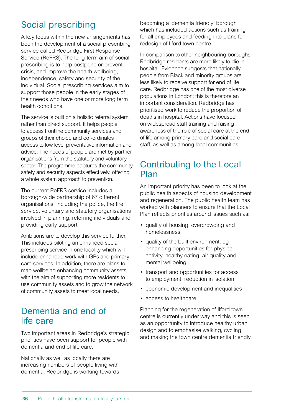### Social prescribing

A key focus within the new arrangements has been the development of a social prescribing service called Redbridge First Response Service (ReFRS). The long-term aim of social prescribing is to help postpone or prevent crisis, and improve the health wellbeing, independence, safety and security of the individual. Social prescribing services aim to support those people in the early stages of their needs who have one or more long term health conditions.

The service is built on a holistic referral system, rather than direct support. It helps people to access frontline community services and groups of their choice and co -ordinates access to low level preventative information and advice. The needs of people are met by partner organisations from the statutory and voluntary sector. The programme captures the community safety and security aspects effectively, offering a whole system approach to prevention.

The current ReFRS service includes a borough-wide partnership of 67 different organisations, including the police, the fire service, voluntary and statutory organisations involved in planning, referring individuals and providing early support

Ambitions are to develop this service further. This includes piloting an enhanced social prescribing service in one locality which will include enhanced work with GPs and primary care services. In addition, there are plans to map wellbeing enhancing community assets with the aim of supporting more residents to use community assets and to grow the network of community assets to meet local needs.

### Dementia and end of life care

Two important areas in Redbridge's strategic priorities have been support for people with dementia and end of life care.

Nationally as well as locally there are increasing numbers of people living with dementia. Redbridge is working towards becoming a 'dementia friendly' borough which has included actions such as training for all employees and feeding into plans for redesign of Ilford town centre.

In comparison to other neighbouring boroughs, Redbridge residents are more likely to die in hospital. Evidence suggests that nationally, people from Black and minority groups are less likely to receive support for end of life care. Redbridge has one of the most diverse populations in London; this is therefore an important consideration. Redbridge has prioritised work to reduce the proportion of deaths in hospital. Actions have focused on widespread staff training and raising awareness of the role of social care at the end of life among primary care and social care staff, as well as among local communities.

### Contributing to the Local Plan

An important priority has been to look at the public health aspects of housing development and regeneration. The public health team has worked with planners to ensure that the Local Plan reflects priorities around issues such as:

- quality of housing, overcrowding and homelessness
- quality of the built environment, eq enhancing opportunities for physical activity, healthy eating, air quality and mental wellbeing
- transport and opportunities for access to employment, reduction in isolation
- economic development and inequalities
- access to healthcare.

Planning for the regeneration of Ilford town centre is currently under way and this is seen as an opportunity to introduce healthy urban design and to emphasise walking, cycling and making the town centre dementia friendly.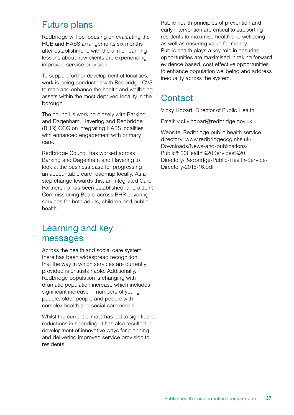### Future plans

Redbridge will be focusing on evaluating the HUB and HASS arrangements six months after establishment, with the aim of learning lessons about how clients are experiencing improved service provision.

To support further development of localities, work is being conducted with Redbridge CVS to map and enhance the health and wellbeing assets within the most deprived locality in the borough.

The council is working closely with Barking and Dagenham, Havering and Redbridge (BHR) CCG on integrating HASS localities with enhanced engagement with primary care.

Redbridge Council has worked across Barking and Dagenham and Havering to look at the business case for progressing an accountable care roadmap locally. As a step change towards this, an Integrated Care Partnership has been established, and a Joint Commissioning Board across BHR covering services for both adults, children and public health.

### Learning and key messages

Across the health and social care system there has been widespread recognition that the way in which services are currently provided is unsustainable. Additionally, Redbridge population is changing with dramatic population increase which includes significant increase in numbers of young people, older people and people with complex health and social care needs.

Whilst the current climate has led to significant reductions in spending, it has also resulted in development of innovative ways for planning and delivering improved service provision to residents.

Public health principles of prevention and early intervention are critical to supporting residents to maximise health and wellbeing as well as ensuring value for money. Public health plays a key role in ensuring opportunities are maximised in taking forward evidence based, cost effective opportunities to enhance population wellbeing and address inequality across the system.

### **Contact**

Vicky Hobart, Director of Public Health

Email: v[icky.hobart@redbridge.gov.uk](mailto:Vicky.Hobart@redbridge.gov.uk)

Website: Redbridge public health service directory: [www.redbridgeccg.nhs.uk/](http://www.redbridgeccg.nhs.uk/Downloads/News-and-publications/Public%20Health%20Services%20Directory/Redbridge-Public-Health-Service-Directory-2015-16.pdf
www.redbridgeccg.nhs.uk/Downloads/News-and-publications/Public%20Health%20Services%20Directory/Redbridge-Public-Health-Service-Directory-2015-16.pdf) [Downloads/News-and-publications/](http://www.redbridgeccg.nhs.uk/Downloads/News-and-publications/Public%20Health%20Services%20Directory/Redbridge-Public-Health-Service-Directory-2015-16.pdf
www.redbridgeccg.nhs.uk/Downloads/News-and-publications/Public%20Health%20Services%20Directory/Redbridge-Public-Health-Service-Directory-2015-16.pdf) [Public%20Health%20Services%20](http://www.redbridgeccg.nhs.uk/Downloads/News-and-publications/Public%20Health%20Services%20Directory/Redbridge-Public-Health-Service-Directory-2015-16.pdf
www.redbridgeccg.nhs.uk/Downloads/News-and-publications/Public%20Health%20Services%20Directory/Redbridge-Public-Health-Service-Directory-2015-16.pdf) [Directory/Redbridge-Public-Health-Service-](http://www.redbridgeccg.nhs.uk/Downloads/News-and-publications/Public%20Health%20Services%20Directory/Redbridge-Public-Health-Service-Directory-2015-16.pdf
www.redbridgeccg.nhs.uk/Downloads/News-and-publications/Public%20Health%20Services%20Directory/Redbridge-Public-Health-Service-Directory-2015-16.pdf)[Directory-2015-16.pdf](http://www.redbridgeccg.nhs.uk/Downloads/News-and-publications/Public%20Health%20Services%20Directory/Redbridge-Public-Health-Service-Directory-2015-16.pdf
www.redbridgeccg.nhs.uk/Downloads/News-and-publications/Public%20Health%20Services%20Directory/Redbridge-Public-Health-Service-Directory-2015-16.pdf)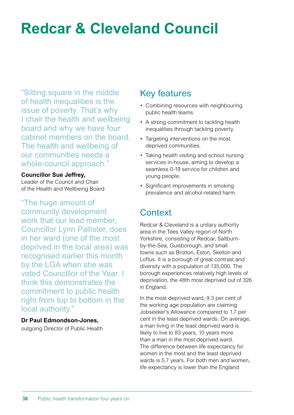## **Redcar & Cleveland Council**

"Sitting square in the middle of health inequalities is the issue of poverty. That's why I chair the health and wellbeing board and why we have four cabinet members on the board. The health and wellbeing of our communities needs a whole-council approach."

#### **Councillor Sue Jeffrey,**

Leader of the Council and Chair of the Health and Wellbeing Board

"The huge amount of community development work that our lead member, Councillor Lynn Pallister, does in her ward (one of the most deprived in the local area) was recognised earlier this month by the LGA when she was voted Councillor of the Year. I think this demonstrates the commitment to public health right from top to bottom in the local authority."

#### **Dr Paul Edmondson-Jones,**

outgoing Director of Public Health

### Key features

- Combining resources with neighbouring public health teams.
- A strong commitment to tackling health inequalities through tackling poverty.
- Targeting interventions on the most deprived communities.
- Taking health visiting and school nursing services in-house, aiming to develop a seamless 0-19 service for children and young people.
- Significant improvements in smoking prevalence and alcohol-related harm.

### **Context**

Redcar & Cleveland is a unitary authority area in the Tees Valley region of North Yorkshire, consisting of Redcar, Saltburnby-the-Sea, Guisborough, and small towns such as Brotton, Eston, Skelton and Loftus. It is a borough of great contrast and diversity with a population of 135,000. The borough experiences relatively high levels of deprivation, the 48th most deprived out of 326 in England.

In the most deprived ward, 9.3 per cent of the working age population are claiming Jobseeker's Allowance compared to 1.7 per cent in the least deprived wards. On average, a man living in the least deprived ward is likely to live to 83 years, 10 years more than a man in the most deprived ward. The difference between life expectancy for women in the most and the least deprived wards is 5.7 years. For both men and women, life expectancy is lower than the England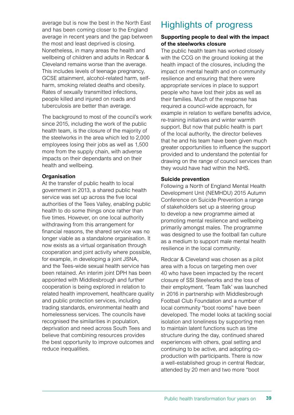average but is now the best in the North East and has been coming closer to the England average in recent years and the gap between the most and least deprived is closing. Nonetheless, in many areas the health and wellbeing of children and adults in Redcar & Cleveland remains worse than the average. This includes levels of teenage pregnancy, GCSE attainment, alcohol-related harm, selfharm, smoking related deaths and obesity. Rates of sexually transmitted infections, people killed and injured on roads and tuberculosis are better than average.

The background to most of the council's work since 2015, including the work of the public health team, is the closure of the majority of the steelworks in the area which led to 2,000 employees losing their jobs as well as 1,500 more from the supply chain, with adverse impacts on their dependants and on their health and wellbeing.

#### **Organisation**

At the transfer of public health to local government in 2013, a shared public health service was set up across the five local authorities of the Tees Valley, enabling public health to do some things once rather than five times. However, on one local authority withdrawing from this arrangement for financial reasons, the shared service was no longer viable as a standalone organisation. It now exists as a virtual organisation through cooperation and joint activity where possible, for example, in developing a joint JSNA, and the Tees-wide sexual health service has been retained. An interim joint DPH has been appointed with Middlesbrough and further cooperation is being explored in relation to related health improvement, healthcare quality and public protection services, including trading standards, environmental health and homelessness services. The councils have recognised the similarities in population, deprivation and need across South Tees and believe that combining resources provides the best opportunity to improve outcomes and reduce inequalities.

### Highlights of progress

#### **Supporting people to deal with the impact of the steelworks closure**

The public health team has worked closely with the CCG on the ground looking at the health impact of the closures, including the impact on mental health and on community resilience and ensuring that there were appropriate services in place to support people who have lost their jobs as well as their families. Much of the response has required a council-wide approach, for example in relation to welfare benefits advice, re-training initiatives and winter warmth support. But now that public health is part of the local authority, the director believes that he and his team have been given much greater opportunities to influence the support provided and to understand the potential for drawing on the range of council services than they would have had within the NHS.

#### **Suicide prevention**

Following a North of England Mental Health Development Unit (NEMHDU) 2015 Autumn Conference on Suicide Prevention a range of stakeholders set up a steering group to develop a new programme aimed at promoting mental resilience and wellbeing primarily amongst males. The programme was designed to use the football fan culture as a medium to support male mental health resilience in the local community.

Redcar & Cleveland was chosen as a pilot area with a focus on targeting men over 40 who have been impacted by the recent closure of SSI Steelworks and the loss of their employment. 'Team Talk' was launched in 2016 in partnership with Middlesbrough Football Club Foundation and a number of local community "boot rooms" have been developed. The model looks at tackling social isolation and loneliness by supporting men to maintain latent functions such as time structure during the day, continued shared experiences with others, goal setting and continuing to be active, and adopting coproduction with participants. There is now a well-established group in central Redcar, attended by 20 men and two more "boot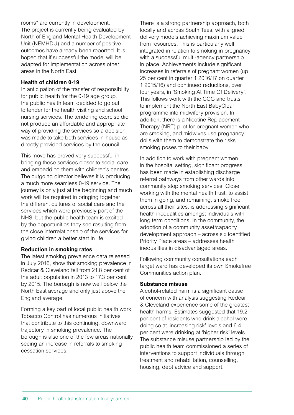rooms" are currently in development. The project is currently being evaluated by [North of England Mental Health Development](http://www.google.co.uk/url?sa=t&rct=j&q=&esrc=s&source=web&cd=1&cad=rja&uact=8&ved=0ahUKEwjQuJXa7cvRAhWDtBoKHRdiBocQFgghMAA&url=http%3A%2F%2Fwww.nemhdu.org.uk%2F&usg=AFQjCNGk5Ii5J4Js3FSv6YFjTnaRXjQCFg&bvm=bv.144224172,d.d2s)  [Unit](http://www.google.co.uk/url?sa=t&rct=j&q=&esrc=s&source=web&cd=1&cad=rja&uact=8&ved=0ahUKEwjQuJXa7cvRAhWDtBoKHRdiBocQFgghMAA&url=http%3A%2F%2Fwww.nemhdu.org.uk%2F&usg=AFQjCNGk5Ii5J4Js3FSv6YFjTnaRXjQCFg&bvm=bv.144224172,d.d2s) (NEMHDU) and a number of positive outcomes have already been reported. It is hoped that if successful the model will be adapted for implementation across other areas in the North East.

#### **Health of children 0-19**

In anticipation of the transfer of responsibility for public health for the 0-19 age group, the public health team decided to go out to tender for the health visiting and school nursing services. The tendering exercise did not produce an affordable and appropriate way of providing the services so a decision was made to take both services in-house as directly provided services by the council.

This move has proved very successful in bringing these services closer to social care and embedding them with children's centres. The outgoing director believes it is producing a much more seamless 0-19 service. The journey is only just at the beginning and much work will be required in bringing together the different cultures of social care and the services which were previously part of the NHS, but the public health team is excited by the opportunities they see resulting from the close interrelationship of the services for giving children a better start in life.

#### **Reduction in smoking rates**

The latest smoking prevalence data released in July 2016, show that smoking prevalence in Redcar & Cleveland fell from 21.8 per cent of the adult population in 2013 to 17.3 per cent by 2015. The borough is now well below the North East average and only just above the England average.

Forming a key part of local public health work, Tobacco Control has numerous initiatives that contribute to this continuing, downward trajectory in smoking prevalence. The borough is also one of the few areas nationally seeing an increase in referrals to smoking cessation services.

There is a strong partnership approach, both locally and across South Tees, with aligned delivery models achieving maximum value from resources. This is particularly well integrated in relation to smoking in pregnancy, with a successful multi-agency partnership in place. Achievements include significant increases in referrals of pregnant women (up 25 per cent in quarter 1 2016/17 on quarter 1 2015/16) and continued reductions, over four years, in 'Smoking At Time Of Delivery'. This follows work with the CCG and trusts to implement the North East BabyClear programme into midwifery provision. In addition, there is a Nicotine Replacement Therapy (NRT) pilot for pregnant women who are smoking, and midwives use pregnancy dolls with them to demonstrate the risks smoking poses to their baby.

In addition to work with pregnant women in the hospital setting, significant progress has been made in establishing discharge referral pathways from other wards into community stop smoking services. Close working with the mental health trust, to assist them in going, and remaining, smoke free across all their sites, is addressing significant health inequalities amongst individuals with long term conditions. In the community, the adoption of a community asset/capacity development approach – across six identified Priority Place areas – addresses health inequalities in disadvantaged areas.

Following community consultations each target ward has developed its own Smokefree Communities action plan.

#### **Substance misuse**

Alcohol-related harm is a significant cause of concern with analysis suggesting Redcar & Cleveland experience some of the greatest health harms. Estimates suggested that 19.2 per cent of residents who drink alcohol were doing so at 'increasing risk' levels and 6.4 per cent were drinking at 'higher risk' levels. The substance misuse partnership led by the public health team commissioned a series of interventions to support individuals through treatment and rehabilitation, counselling, housing, debt advice and support.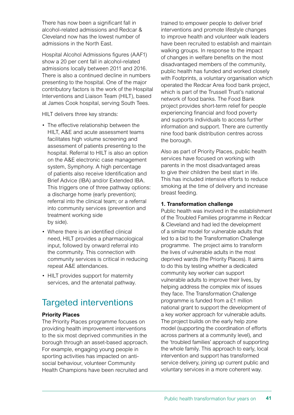There has now been a significant fall in alcohol-related admissions and Redcar & Cleveland now has the lowest number of admissions in the North East.

Hospital Alcohol Admissions figures (AAF1) show a 20 per cent fall in alcohol-related admissions locally between 2011 and 2016. There is also a continued decline in numbers presenting to the hospital. One of the major contributory factors is the work of the Hospital Interventions and Liaison Team (HILT), based at James Cook hospital, serving South Tees.

HILT delivers three key strands:

- The effective relationship between the HILT, A&E and acute assessment teams facilitates high volume screening and assessment of patients presenting to the hospital. Referral to HILT is also an option on the A&E electronic case management system, Symphony. A high percentage of patients also receive Identification and Brief Advice (IBA) and/or Extended IBA. This triggers one of three pathway options: a discharge home (early prevention); referral into the clinical team; or a referral into community services (prevention and treatment working side by side).
- Where there is an identified clinical need, HILT provides a pharmacological input, followed by onward referral into the community. This connection with community services is critical in reducing repeat A&E attendances.
- HILT provides support for maternity services, and the antenatal pathway.

### Targeted interventions

#### **Priority Places**

The Priority Places programme focuses on providing health improvement interventions to the six most deprived communities in the borough through an asset-based approach. For example, engaging young people in sporting activities has impacted on antisocial behaviour, volunteer Community Health Champions have been recruited and trained to empower people to deliver brief interventions and promote lifestyle changes to improve health and volunteer walk leaders have been recruited to establish and maintain walking groups. In response to the impact of changes in welfare benefits on the most disadvantaged members of the community, public health has funded and worked closely with Footprints, a voluntary organisation which operated the Redcar Area food bank project, which is part of the Trussell Trust's national network of food banks. The Food Bank project provides short-term relief for people experiencing financial and food poverty and supports individuals to access further information and support. There are currently nine food bank distribution centres across the borough.

Also as part of Priority Places, public health services have focused on working with parents in the most disadvantaged areas to give their children the best start in life. This has included intensive efforts to reduce smoking at the time of delivery and increase breast feeding.

#### **1. Transformation challenge**

Public health was involved in the establishment of the Troubled Families programme in Redcar & Cleveland and had led the development of a similar model for vulnerable adults that led to a bid to the Transformation Challenge programme. The project aims to transform the lives of vulnerable adults in the most deprived wards (the Priority Places). It aims to do this by testing whether a dedicated community key worker can support vulnerable adults to improve their lives, by helping address the complex mix of issues they face. The Transformation Challenge programme is funded from a £1 million national grant to support the development of a key worker approach for vulnerable adults. The project builds on the early help zone model (supporting the coordination of efforts across partners at a community level), and the 'troubled families' approach of supporting the whole family. This approach to early, local intervention and support has transformed service delivery, joining up current public and voluntary services in a more coherent way.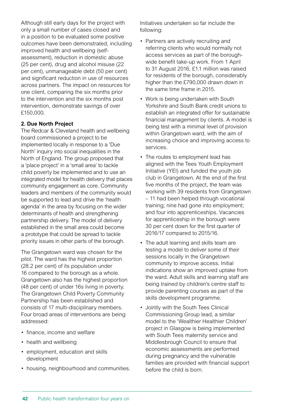Although still early days for the project with only a small number of cases closed and in a position to be evaluated some positive outcomes have been demonstrated, including improved health and wellbeing (selfassessment), reduction in domestic abuse (25 per cent), drug and alcohol misuse (22 per cent), unmanageable debt (50 per cent) and significant reduction in use of resources across partners. The impact on resources for one client, comparing the six months prior to the intervention and the six months post intervention, demonstrate savings of over £150,000.

#### **2. Due North Project**

The Redcar & Cleveland health and wellbeing board commissioned a project to be implemented locally in response to a 'Due North' inquiry into social inequalities in the North of England. The group proposed that a 'place project' in a 'small area' to tackle child poverty be implemented and to use an integrated model for health delivery that places community engagement as core. Community leaders and members of the community would be supported to lead and drive the 'health agenda' in the area by focusing on the wider determinants of health and strengthening partnership delivery. The model of delivery established in the small area could become a prototype that could be spread to tackle priority issues in other parts of the borough.

The Grangetown ward was chosen for the pilot. The ward has the highest proportion (28.2 per cent) of its population under 16 compared to the borough as a whole. Grangetown also has the highest proportion (48 per cent) of under 16s living in poverty. The Grangetown Child Poverty Community Partnership has been established and consists of 17 multi-disciplinary members. Four broad areas of interventions are being addressed:

- finance, income and welfare
- health and wellbeing
- employment, education and skills development
- housing, neighbourhood and communities.

Initiatives undertaken so far include the following:

- Partners are actively recruiting and referring clients who would normally not access services as part of the boroughwide benefit take-up work. From 1 April to 31 August 2016, £1.1 million was raised for residents of the borough, considerably higher than the £790,000 drawn down in the same time frame in 2015.
- Work is being undertaken with South Yorkshire and South Bank credit unions to establish an integrated offer for sustainable financial management by clients. A model is being test with a minimal level of provision within Grangetown ward, with the aim of increasing choice and improving access to services.
- The routes to employment lead has aligned with the Tees Youth Employment Initiative (YEI) and funded the youth job club in Grangetown. At the end of the first five months of the project, the team was working with 39 residents from Grangetown – 11 had been helped through vocational training; nine had gone into employment; and four into apprenticeships. Vacancies for apprenticeship in the borough were 30 per cent down for the first quarter of 2016/17 compared to 2015/16.
- The adult learning and skills team are testing a model to deliver some of their sessions locally in the Grangetown community to improve access. Initial indications show an improved uptake from the ward. Adult skills and learning staff are being trained by children's centre staff to provide parenting courses as part of the skills development programme.
- Jointly with the South Tees Clinical Commissioning Group lead, a similar model to the 'Wealthier Healthier Children' project in Glasgow is being implemented with South Tees maternity service and Middlesbrough Council to ensure that economic assessments are performed during pregnancy and the vulnerable families are provided with financial support before the child is born.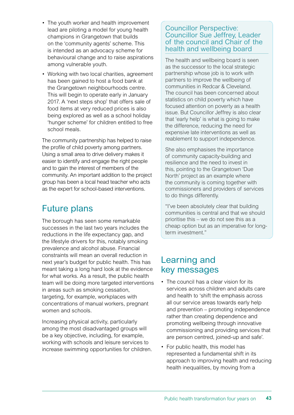- The youth worker and health improvement lead are piloting a model for young health champions in Grangetown that builds on the 'community agents' scheme. This is intended as an advocacy scheme for behavioural change and to raise aspirations among vulnerable youth.
- Working with two local charities, agreement has been gained to host a food bank at the Grangetown neighbourhoods centre. This will begin to operate early in January 2017. A 'next steps shop' that offers sale of food items at very reduced prices is also being explored as well as a school holiday 'hunger scheme' for children entitled to free school meals.

The community partnership has helped to raise the profile of child poverty among partners. Using a small area to drive delivery makes it easier to identify and engage the right people and to gain the interest of members of the community. An important addition to the project group has been a local head teacher who acts as the expert for school-based interventions.

### Future plans

The borough has seen some remarkable successes in the last two years includes the reductions in the life expectancy gap, and the lifestyle drivers for this, notably smoking prevalence and alcohol abuse. Financial constraints will mean an overall reduction in next year's budget for public health. This has meant taking a long hard look at the evidence for what works. As a result, the public health team will be doing more targeted interventions in areas such as smoking cessation, targeting, for example, workplaces with concentrations of manual workers, pregnant women and schools.

Increasing physical activity, particularly among the most disadvantaged groups will be a key objective, including, for example, working with schools and leisure services to increase swimming opportunities for children.

#### Councillor Perspective: Councillor Sue Jeffrey, Leader of the council and Chair of the health and wellbeing board

The health and wellbeing board is seen as the successor to the local strategic partnership whose job is to work with partners to improve the wellbeing of communities in Redcar & Cleveland. The council has been concerned about statistics on child poverty which have focused attention on poverty as a health issue. But Councillor Jeffrey is also clear that 'early help' is what is going to make the difference, reducing the need for expensive late interventions as well as reablement to support independence.

She also emphasises the importance of community capacity-building and resilience and the need to invest in this, pointing to the Grangetown 'Due North' project as an example where the community is coming together with commissioners and providers of services to do things differently.

"I've been absolutely clear that building communities is central and that we should prioritise this – we do not see this as a cheap option but as an imperative for longterm investment."

### Learning and key messages

- The council has a clear vision for its services across children and adults care and health to 'shift the emphasis across all our service areas towards early help and prevention – promoting independence rather than creating dependence and promoting wellbeing through innovative commissioning and providing services that are person centred, joined-up and safe'.
- For public health, this model has represented a fundamental shift in its approach to improving health and reducing health inequalities, by moving from a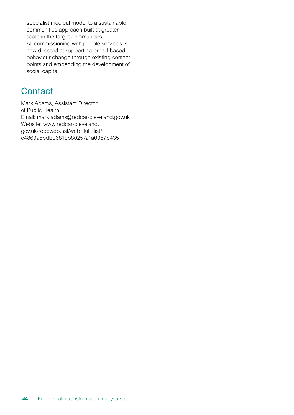specialist medical model to a sustainable communities approach built at greater scale in the target communities. All commissioning with people services is now directed at supporting broad-based behaviour change through existing contact points and embedding the development of social capital.

### **Contact**

Mark Adams, Assistant Director of Public Health Email: [mark.adams@redcar-cleveland.gov.uk](mailto:mark.adams@redcar-cleveland.gov.uk) Website: [www.redcar-cleveland.](http://www.redcar-cleveland.gov.uk/rcbcweb.nsf/web+full+list/c4869a5bdb0681bb80257a1a0057b435) [gov.uk/rcbcweb.nsf/web+full+list/](http://www.redcar-cleveland.gov.uk/rcbcweb.nsf/web+full+list/c4869a5bdb0681bb80257a1a0057b435) [c4869a5bdb0681bb80257a1a0057b435](http://www.redcar-cleveland.gov.uk/rcbcweb.nsf/web+full+list/c4869a5bdb0681bb80257a1a0057b435)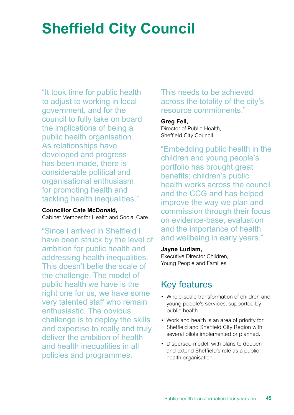# **Sheffield City Council**

"It took time for public health to adjust to working in local government, and for the council to fully take on board the implications of being a public health organisation. As relationships have developed and progress has been made, there is considerable political and organisational enthusiasm for promoting health and tackling health inequalities."

#### **Councillor Cate McDonald,**

Cabinet Member for Health and Social Care

"Since I arrived in Sheffield I have been struck by the level of ambition for public health and addressing health inequalities. This doesn't belie the scale of the challenge. The model of public health we have is the right one for us, we have some very talented staff who remain enthusiastic. The obvious challenge is to deploy the skills and expertise to really and truly deliver the ambition of health and health inequalities in all policies and programmes.

### This needs to be achieved across the totality of the city's resource commitments."

#### **Greg Fell,**

Director of Public Health, Sheffield City Council

"Embedding public health in the children and young people's portfolio has brought great benefits; children's public health works across the council and the CCG and has helped improve the way we plan and commission through their focus on evidence-base, evaluation and the importance of health and wellbeing in early years."

#### **Jayne Ludlam,**

Executive Director Children, Young People and Families

### Key features

- Whole-scale transformation of children and young people's services, supported by public health.
- Work and health is an area of priority for Sheffield and Sheffield City Region with several pilots implemented or planned.
- Dispersed model, with plans to deepen and extend Sheffield's role as a public health organisation.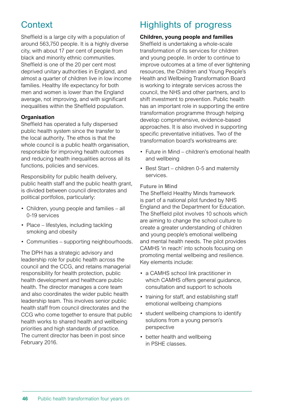### **Context**

Sheffield is a large city with a population of around 563,750 people. It is a highly diverse city, with about 17 per cent of people from black and minority ethnic communities. Sheffield is one of the 20 per cent most deprived unitary authorities in England, and almost a quarter of children live in low income families. Healthy life expectancy for both men and women is lower than the England average, not improving, and with significant inequalities within the Sheffield population.

#### **Organisation**

Sheffield has operated a fully dispersed public health system since the transfer to the local authority. The ethos is that the whole council is a public health organisation, responsible for improving health outcomes and reducing health inequalities across all its functions, policies and services.

Responsibility for public health delivery, public health staff and the public health grant, is divided between council directorates and political portfolios, particularly:

- Children, young people and families all 0-19 services
- Place lifestyles, including tackling smoking and obesity
- Communities supporting neighbourhoods.

The DPH has a strategic advisory and leadership role for public health across the council and the CCG, and retains managerial responsibility for health protection, public health development and healthcare public health. The director manages a core team and also coordinates the wider public health leadership team. This involves senior public health staff from council directorates and the CCG who come together to ensure that public health works to shared health and wellbeing priorities and high standards of practice. The current director has been in post since February 2016.

### Highlights of progress

#### **Children, young people and families**

Sheffield is undertaking a whole-scale transformation of its services for children and young people. In order to continue to improve outcomes at a time of ever tightening resources, the Children and Young People's Health and Wellbeing Transformation Board is working to integrate services across the council, the NHS and other partners, and to shift investment to prevention. Public health has an important role in supporting the entire transformation programme through helping develop comprehensive, evidence-based approaches. It is also involved in supporting specific preventative initiatives. Two of the transformation board's workstreams are:

- Future in Mind children's emotional health and wellbeing
- Best Start children 0-5 and maternity services.

#### **Future in Mind**

The Sheffield Healthy Minds framework is part of a national pilot funded by NHS England and the Department for Education. The Sheffield pilot involves 10 schools which are aiming to change the school culture to create a greater understanding of children and young people's emotional wellbeing and mental health needs. The pilot provides CAMHS 'in reach' into schools focusing on promoting mental wellbeing and resilience. Key elements include:

- a CAMHS school link practitioner in which CAMHS offers general quidance. consultation and support to schools
- training for staff, and establishing staff emotional wellbeing champions
- student wellbeing champions to identify solutions from a young person's perspective
- better health and wellbeing in PSHE classes.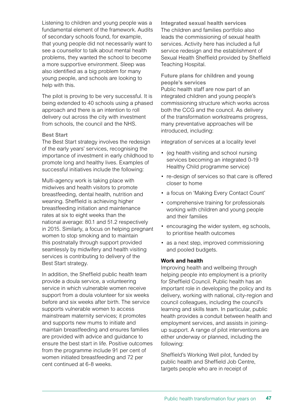Listening to children and young people was a fundamental element of the framework. Audits of secondary schools found, for example, that young people did not necessarily want to see a counsellor to talk about mental health problems, they wanted the school to become a more supportive environment. Sleep was also identified as a big problem for many young people, and schools are looking to help with this.

The pilot is proving to be very successful. It is being extended to 40 schools using a phased approach and there is an intention to roll delivery out across the city with investment from schools, the council and the NHS.

#### **Best Start**

The Best Start strategy involves the redesign of the early years' services, recognising the importance of investment in early childhood to promote long and healthy lives. Examples of successful initiatives include the following:

Multi-agency work is taking place with midwives and health visitors to promote breastfeeding, dental health, nutrition and weaning. Sheffield is achieving higher breastfeeding initiation and maintenance rates at six to eight weeks than the national average: 80.1 and 51.2 respectively in 2015. Similarly, a focus on helping pregnant women to stop smoking and to maintain this postnatally through support provided seamlessly by midwifery and health visiting services is contributing to delivery of the Best Start strategy.

In addition, the Sheffield public health team provide a doula service, a volunteering service in which vulnerable women receive support from a doula volunteer for six weeks before and six weeks after birth. The service supports vulnerable women to access mainstream maternity services; it promotes and supports new mums to initiate and maintain breastfeeding and ensures families are provided with advice and guidance to ensure the best start in life. Positive outcomes from the programme include 91 per cent of women initiated breastfeeding and 72 per cent continued at 6-8 weeks.

**Integrated sexual health services** The children and families portfolio also leads the commissioning of sexual health services. Activity here has included a full service redesign and the establishment of Sexual Health Sheffield provided by Sheffield Teaching Hospital.

**Future plans for children and young people's services**

Public health staff are now part of an integrated children and young people's commissioning structure which works across both the CCG and the council. As delivery of the transformation workstreams progress, many preventative approaches will be introduced, including:

integration of services at a locality level

- (eg health visiting and school nursing services becoming an integrated 0-19 Healthy Child programme service)
- re-design of services so that care is offered closer to home
- a focus on 'Making Every Contact Count'
- comprehensive training for professionals working with children and young people and their families
- encouraging the wider system, eg schools, to prioritise health outcomes
- as a next step, improved commissioning and pooled budgets.

#### **Work and health**

Improving health and wellbeing through helping people into employment is a priority for Sheffield Council. Public health has an important role in developing the policy and its delivery, working with national, city-region and council colleagues, including the council's learning and skills team. In particular, public health provides a conduit between health and employment services, and assists in joiningup support. A range of pilot interventions are either underway or planned, including the following:

Sheffield's Working Well pilot, funded by public health and Sheffield Job Centre, targets people who are in receipt of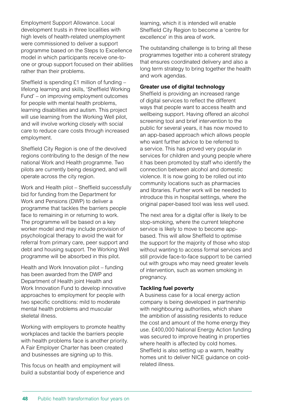Employment Support Allowance. Local development trusts in three localities with high levels of health-related unemployment were commissioned to deliver a support programme based on the Steps to Excellence model in which participants receive one-toone or group support focused on their abilities rather than their problems.

Sheffield is spending £1 million of funding – lifelong learning and skills, 'Sheffield Working Fund' – on improving employment outcomes for people with mental health problems, learning disabilities and autism. This project will use learning from the Working Well pilot, and will involve working closely with social care to reduce care costs through increased employment.

Sheffield City Region is one of the devolved regions contributing to the design of the new national Work and Health programme. Two pilots are currently being designed, and will operate across the city region.

Work and Health pilot – Sheffield successfully bid for funding from the Department for Work and Pensions (DWP) to deliver a programme that tackles the barriers people face to remaining in or returning to work. The programme will be based on a key worker model and may include provision of psychological therapy to avoid the wait for referral from primary care, peer support and debt and housing support. The Working Well programme will be absorbed in this pilot.

Health and Work Innovation pilot – funding has been awarded from the DWP and Department of Health joint Health and Work Innovation Fund to develop innovative approaches to employment for people with two specific conditions: mild to moderate mental health problems and muscular skeletal illness.

Working with employers to promote healthy workplaces and tackle the barriers people with health problems face is another priority. A Fair Employer Charter has been created and businesses are signing up to this.

This focus on health and employment will build a substantial body of experience and learning, which it is intended will enable Sheffield City Region to become a 'centre for excellence' in this area of work.

The outstanding challenge is to bring all these programmes together into a coherent strategy that ensures coordinated delivery and also a long term strategy to bring together the health and work agendas.

#### **Greater use of digital technology**

Sheffield is providing an increased range of digital services to reflect the different ways that people want to access health and wellbeing support. Having offered an alcohol screening tool and brief intervention to the public for several years, it has now moved to an app-based approach which allows people who want further advice to be referred to a service. This has proved very popular in services for children and young people where it has been promoted by staff who identify the connection between alcohol and domestic violence. It is now going to be rolled out into community locations such as pharmacies and libraries. Further work will be needed to introduce this in hospital settings, where the original paper-based tool was less well used.

The next area for a digital offer is likely to be stop-smoking, where the current telephone service is likely to move to become appbased. This will allow Sheffield to optimise the support for the majority of those who stop without wanting to access formal services and still provide face-to-face support to be carried out with groups who may need greater levels of intervention, such as women smoking in pregnancy.

#### **Tackling fuel poverty**

A business case for a local energy action company is being developed in partnership with neighbouring authorities, which share the ambition of assisting residents to reduce the cost and amount of the home energy they use. £400,000 National Energy Action funding was secured to improve heating in properties where health is affected by cold homes. Sheffield is also setting up a warm, healthy homes unit to deliver NICE guidance on coldrelated illness.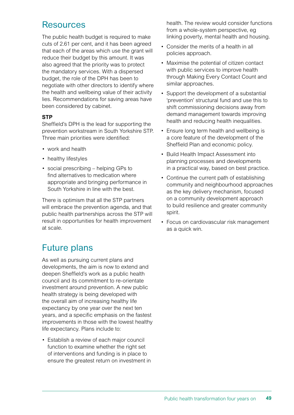### Resources

The public health budget is required to make cuts of 2.61 per cent, and it has been agreed that each of the areas which use the grant will reduce their budget by this amount. It was also agreed that the priority was to protect the mandatory services. With a dispersed budget, the role of the DPH has been to negotiate with other directors to identify where the health and wellbeing value of their activity lies. Recommendations for saving areas have been considered by cabinet.

#### **STP**

Sheffield's DPH is the lead for supporting the prevention workstream in South Yorkshire STP. Three main priorities were identified:

- work and health
- healthy lifestyles
- social prescribing helping GPs to find alternatives to medication where appropriate and bringing performance in South Yorkshire in line with the best.

There is optimism that all the STP partners will embrace the prevention agenda, and that public health partnerships across the STP will result in opportunities for health improvement at scale.

### Future plans

As well as pursuing current plans and developments, the aim is now to extend and deepen Sheffield's work as a public health council and its commitment to re-orientate investment around prevention. A new public health strategy is being developed with the overall aim of increasing healthy life expectancy by one year over the next ten years, and a specific emphasis on the fastest improvements in those with the lowest healthy life expectancy. Plans include to:

• Establish a review of each major council function to examine whether the right set of interventions and funding is in place to ensure the greatest return on investment in health. The review would consider functions from a whole-system perspective, eg linking poverty, mental health and housing.

- Consider the merits of a health in all policies approach.
- Maximise the potential of citizen contact with public services to improve health through Making Every Contact Count and similar approaches.
- Support the development of a substantial 'prevention' structural fund and use this to shift commissioning decisions away from demand management towards improving health and reducing health inequalities.
- Ensure long term health and wellbeing is a core feature of the development of the Sheffield Plan and economic policy.
- Build Health Impact Assessment into planning processes and developments in a practical way, based on best practice.
- Continue the current path of establishing community and neighbourhood approaches as the key delivery mechanism, focused on a community development approach to build resilience and greater community spirit.
- Focus on cardiovascular risk management as a quick win.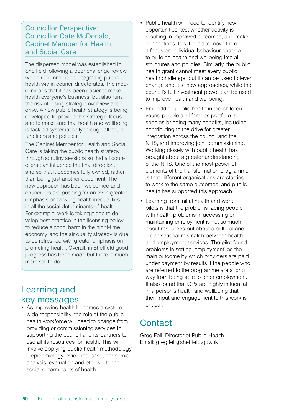#### Councillor Perspective: Councillor Cate McDonald, Cabinet Member for Health and Social Care

The dispersed model was established in Sheffield following a peer challenge review which recommended integrating public health within council directorates. The model means that it has been easier to make health everyone's business, but also runs the risk of losing strategic overview and drive. A new public health strategy is being developed to provide this strategic focus and to make sure that health and wellbeing is tackled systematically through all council functions and policies.

The Cabinet Member for Health and Social Care is taking the public health strategy through scrutiny sessions so that all councilors can influence the final direction, and so that it becomes fully owned, rather than being just another document. The new approach has been welcomed and councillors are pushing for an even greater emphasis on tackling health inequalities in all the social determinants of health. For example, work is taking place to develop best practice in the licensing policy to reduce alcohol harm in the night-time economy, and the air quality strategy is due to be refreshed with greater emphasis on promoting health. Overall, in Sheffield good progress has been made but there is much more still to do.

### Learning and key messages

• As improving health becomes a systemwide responsibility, the role of the public health workforce will need to change from providing or commissioning services to supporting the council and its partners to use all its resources for health. This will involve applying public health methodology – epidemiology, evidence-base, economic analysis, evaluation and ethics – to the social determinants of health.

- Public health will need to identify new opportunities, test whether activity is resulting in improved outcomes, and make connections. It will need to move from a focus on individual behaviour change to building health and wellbeing into all structures and policies. Similarly, the public health grant cannot meet every public health challenge, but it can be used to lever change and test new approaches, while the council's full investment power can be used to improve health and wellbeing.
- Embedding public health in the children, young people and families portfolio is seen as bringing many benefits, including contributing to the drive for greater integration across the council and the NHS, and improving joint commissioning. Working closely with public health has brought about a greater understanding of the NHS. One of the most powerful elements of the transformation programme is that different organisations are starting to work to the same outcomes, and public health has supported this approach.
- Learning from initial health and work pilots is that the problems facing people with health problems in accessing or maintaining employment is not so much about resources but about a cultural and organisational mismatch between health and employment services. The pilot found problems in setting 'employment' as the main outcome by which providers are paid under payment by results if the people who are referred to the programme are a long way from being able to enter employment. It also found that GPs are highly influential in a person's health and wellbeing that their input and engagement to this work is critical.

### **Contact**

Greg Fell, Director of Public Health Email: greg.fell@sheffield.gov.uk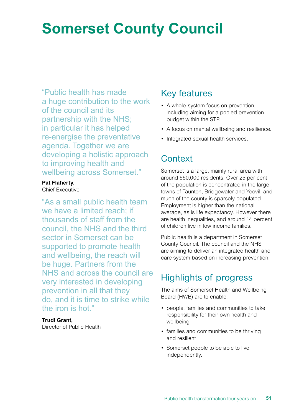## **Somerset County Council**

"Public health has made a huge contribution to the work of the council and its partnership with the NHS; in particular it has helped re-energise the preventative agenda. Together we are developing a holistic approach to improving health and wellbeing across Somerset."

#### **Pat Flaherty,**

Chief Executive

"As a small public health team we have a limited reach; if thousands of staff from the council, the NHS and the third sector in Somerset can be supported to promote health and wellbeing, the reach will be huge. Partners from the NHS and across the council are very interested in developing prevention in all that they do, and it is time to strike while the iron is hot."

#### **Trudi Grant,**

Director of Public Heatlh

### Key features

- A whole-system focus on prevention, including aiming for a pooled prevention budget within the STP.
- A focus on mental wellbeing and resilience.
- Integrated sexual health services.

### **Context**

Somerset is a large, mainly rural area with around 550,000 residents. Over 25 per cent of the population is concentrated in the large towns of Taunton, Bridgewater and Yeovil, and much of the county is sparsely populated. Employment is higher than the national average, as is life expectancy. However there are health inequalities, and around 14 percent of children live in low income families.

Public health is a department in Somerset County Council. The council and the NHS are aiming to deliver an integrated health and care system based on increasing prevention.

### Highlights of progress

The aims of Somerset Health and Wellbeing Board (HWB) are to enable:

- people, families and communities to take responsibility for their own health and wellbeing
- families and communities to be thriving and resilient
- Somerset people to be able to live independently.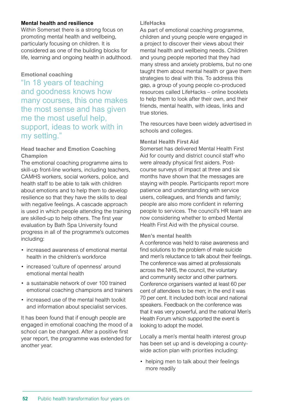#### **Mental health and resilience**

Within Somerset there is a strong focus on promoting mental health and wellbeing, particularly focusing on children. It is considered as one of the building blocks for life, learning and ongoing health in adulthood.

#### **Emotional coaching**

"In 18 years of teaching and goodness knows how many courses, this one makes the most sense and has given me the most useful help, support, ideas to work with in my setting."

#### **Head teacher and Emotion Coaching Champion**

The emotional coaching programme aims to skill-up front-line workers, including teachers, CAMHS workers, social workers, police, and health staff to be able to talk with children about emotions and to help them to develop resilience so that they have the skills to deal with negative feelings. A cascade approach is used in which people attending the training are skilled-up to help others. The first year evaluation by Bath Spa University found progress in all of the programme's outcomes including:

- increased awareness of emotional mental health in the children's workforce
- increased 'culture of openness' around emotional mental health
- a sustainable network of over 100 trained emotional coaching champions and trainers
- increased use of the mental health toolkit and information about specialist services.

It has been found that if enough people are engaged in emotional coaching the mood of a school can be changed. After a positive first year report, the programme was extended for another year.

#### **LifeHacks**

As part of emotional coaching programme, children and young people were engaged in a project to discover their views about their mental health and wellbeing needs. Children and young people reported that they had many stress and anxiety problems, but no one taught them about mental health or gave them strategies to deal with this. To address this gap, a group of young people co-produced resources called LifeHacks – online booklets to help them to look after their own, and their friends, mental health, with ideas, links and true stories.

The resources have been widely advertised in schools and colleges.

#### **Mental Health First Aid**

Somerset has delivered Mental Health First Aid for county and district council staff who were already physical first aiders. Postcourse surveys of impact at three and six months have shown that the messages are staying with people. Participants report more patience and understanding with service users, colleagues, and friends and family; people are also more confident in referring people to services. The council's HR team are now considering whether to embed Mental Health First Aid with the physical course.

#### **Men's mental health**

A conference was held to raise awareness and find solutions to the problem of male suicide and men's reluctance to talk about their feelings. The conference was aimed at professionals across the NHS, the council, the voluntary and community sector and other partners. Conference organisers wanted at least 60 per cent of attendees to be men; in the end it was 70 per cent. It included both local and national speakers. Feedback on the conference was that it was very powerful, and the national Men's Health Forum which supported the event is looking to adopt the model.

Locally a men's mental health interest group has been set up and is developing a countywide action plan with priorities including:

• helping men to talk about their feelings more readily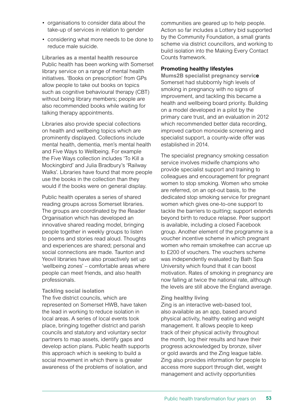- organisations to consider data about the take-up of services in relation to gender
- considering what more needs to be done to reduce male suicide.

**Libraries as a mental health resource** Public health has been working with Somerset library service on a range of mental health initiatives. 'Books on prescription' from GPs allow people to take out books on topics such as cognitive behavioural therapy (CBT) without being library members; people are also recommended books while waiting for talking therapy appointments.

Libraries also provide special collections on health and wellbeing topics which are prominently displayed. Collections include mental health, dementia, men's mental health and Five Ways to Wellbeing. For example the Five Ways collection includes 'To Kill a Mockingbird' and Julia Bradbury's 'Railway Walks'. Libraries have found that more people use the books in the collection than they would if the books were on general display.

Public health operates a series of shared reading groups across Somerset libraries. The groups are coordinated by the Reader Organisation which has developed an innovative shared reading model, bringing people together in weekly groups to listen to poems and stories read aloud. Thoughts and experiences are shared; personal and social connections are made. Taunton and Yeovil libraries have also proactively set up 'wellbeing zones' – comfortable areas where people can meet friends, and also health professionals.

#### **Tackling social isolation**

The five district councils, which are represented on Somerset HWB, have taken the lead in working to reduce isolation in local areas. A series of local events took place, bringing together district and parish councils and statutory and voluntary sector partners to map assets, identify gaps and develop action plans. Public health supports this approach which is seeking to build a social movement in which there is greater awareness of the problems of isolation, and

communities are geared up to help people. Action so far includes a Lottery bid supported by the Community Foundation, a small grants scheme via district councillors, and working to build isolation into the Making Every Contact Counts framework.

#### **Promoting healthy lifestyles**

**Mums2B specialist pregnancy service** Somerset had stubbornly high levels of smoking in pregnancy with no signs of improvement, and tackling this became a health and wellbeing board priority. Building on a model developed in a pilot by the primary care trust, and an evaluation in 2012 which recommended better data recording. improved carbon monoxide screening and specialist support, a county-wide offer was established in 2014.

The specialist pregnancy smoking cessation service involves midwife champions who provide specialist support and training to colleagues and encouragement for pregnant women to stop smoking. Women who smoke are referred, on an opt-out basis, to the dedicated stop smoking service for pregnant women which gives one-to-one support to tackle the barriers to quitting; support extends beyond birth to reduce relapse. Peer support is available, including a closed Facebook group. Another element of the programme is a voucher incentive scheme in which pregnant women who remain smokefree can accrue up to £200 of vouchers. The vouchers scheme was independently evaluated by Bath Spa University which found that it can boost motivation. Rates of smoking in pregnancy are now falling at twice the national rate, although the levels are still above the England average.

#### **Zing healthy living**

Zing is an interactive web-based tool, also available as an app, based around physical activity, healthy eating and weight management. It allows people to keep track of their physical activity throughout the month, log their results and have their progress acknowledged by bronze, silver or gold awards and the Zing league table. Zing also provides information for people to access more support through diet, weight management and activity opportunities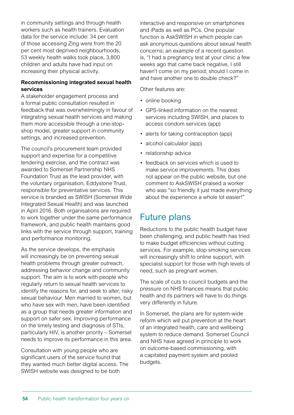in community settings and through health workers such as health trainers. Evaluation data for the service include: 34 per cent of those accessing Zing were from the 20 per cent most deprived neighbourhoods, 53 weekly health walks took place, 3,800 children and adults have had input on increasing their physical activity.

#### **Recommissioning integrated sexual health services**

A stakeholder engagement process and a formal public consultation resulted in feedback that was overwhelmingly in favour of integrating sexual health services and making them more accessible through a one-stopshop model, greater support in community settings, and increased prevention.

The council's procurement team provided support and expertise for a competitive tendering exercise, and the contract was awarded to Somerset Partnership NHS Foundation Trust as the lead provider, with the voluntary organisation, Eddystone Trust, responsible for preventative services. This service is branded as SWISH (Somerset Wide Integrated Sexual Health) and was launched in April 2016. Both organisations are required to work together under the same performance framework, and public health maintains good links with the service through support, training and performance monitoring.

As the service develops, the emphasis will increasingly be on preventing sexual health problems through greater outreach, addressing behavior change and community support. The aim is to work with people who regularly return to sexual health services to identify the reasons for, and seek to alter, risky sexual behaviour. Men married to women, but who have sex with men, have been identified as a group that needs greater information and support on safer sex. Improving performance on the timely testing and diagnosis of STIs, particularly HIV, is another priority – Somerset needs to improve its performance in this area.

Consultation with young people who are significant users of the service found that they wanted much better digital access. The SWISH website was designed to be both

interactive and responsive on smartphones and iPads as well as PCs. One popular function is AskSWISH in which people can ask anonymous questions about sexual health concerns; an example of a recent question is, "I had a pregnancy test at your clinic a few weeks ago that came back negative, I still haven't come on my period; should I come in and have another one to double check?"

Other features are:

- online booking
- GPS-linked information on the nearest services including SWISH, and places to access condom services (app)
- alerts for taking contraception (app)
- alcohol calculator (app)
- relationship advice
- feedback on services which is used to make service improvements. This does not appear on the public website, but one comment to AskSWISH praised a worker who was "so friendly it just made everything about the experience a whole lot easier!"

### Future plans

Reductions to the public health budget have been challenging, and public health has tried to make budget efficiencies without cutting services. For example, stop smoking services will increasingly shift to online support, with specialist support for those with high levels of need, such as pregnant women.

The scale of cuts to council budgets and the pressure on NHS finances means that public health and its partners will have to do things very differently in future.

In Somerset, the plans are for system-wide reform which will put prevention at the heart of an integrated health, care and wellbeing system to reduce demand. Somerset Council and NHS have agreed in principle to work on outcome-based commissioning, with a capitated payment system and pooled budgets.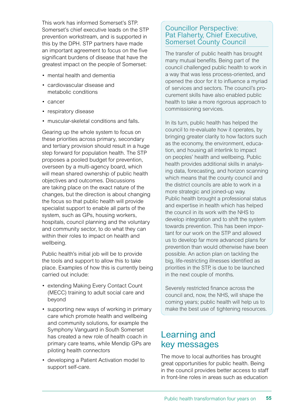This work has informed Somerset's STP. Somerset's chief executive leads on the STP prevention workstream, and is supported in this by the DPH. STP partners have made an important agreement to focus on the five significant burdens of disease that have the greatest impact on the people of Somerset:

- mental health and dementia
- cardiovascular disease and metabolic conditions
- cancer
- respiratory disease
- muscular-skeletal conditions and falls.

Gearing up the whole system to focus on these priorities across primary, secondary and tertiary provision should result in a huge step forward for population health. The STP proposes a pooled budget for prevention, overseen by a multi-agency board, which will mean shared ownership of public health objectives and outcomes. Discussions are taking place on the exact nature of the changes, but the direction is about changing the focus so that public health will provide specialist support to enable all parts of the system, such as GPs, housing workers, hospitals, council planning and the voluntary and community sector, to do what they can within their roles to impact on health and wellbeing.

Public health's initial job will be to provide the tools and support to allow this to take place. Examples of how this is currently being carried out include:

- extending Making Every Contact Count (MECC) training to adult social care and beyond
- supporting new ways of working in primary care which promote health and wellbeing and community solutions, for example the Symphony Vanguard in South Somerset has created a new role of health coach in primary care teams, while Mendip GPs are piloting health connectors
- developing a Patient Activation model to support self-care.

#### Councillor Perspective: Pat Flaherty, Chief Executive, Somerset County Council

The transfer of public health has brought many mutual benefits. Being part of the council challenged public health to work in a way that was less process-oriented, and opened the door for it to influence a myriad of services and sectors. The council's procurement skills have also enabled public health to take a more rigorous approach to commissioning services.

In its turn, public health has helped the council to re-evaluate how it operates, by bringing greater clarity to how factors such as the economy, the environment, education, and housing all interlink to impact on peoples' health and wellbeing. Public health provides additional skills in analysing data, forecasting, and horizon scanning which means that the county council and the district councils are able to work in a more strategic and joined-up way. Public health brought a professional status and expertise in health which has helped the council in its work with the NHS to develop integration and to shift the system towards prevention. This has been important for our work on the STP and allowed us to develop far more advanced plans for prevention than would otherwise have been possible. An action plan on tackling the big, life-restricting illnesses identified as priorities in the STP, is due to be launched in the next couple of months.

Severely restricted finance across the council and, now, the NHS, will shape the coming years; public health will help us to make the best use of tightening resources.

### Learning and key messages

The move to local authorities has brought great opportunities for public health. Being in the council provides better access to staff in front-line roles in areas such as education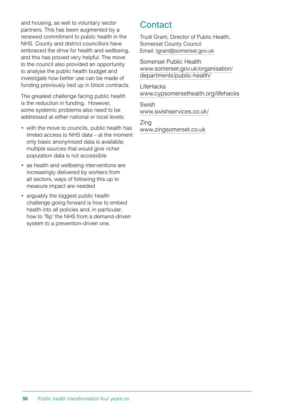and housing, as well to voluntary sector partners. This has been augmented by a renewed commitment to public health in the NHS. County and district councillors have embraced the drive for health and wellbeing, and this has proved very helpful. The move to the council also provided an opportunity to analyse the public health budget and investigate how better use can be made of funding previously tied up in block contracts.

The greatest challenge facing public health is the reduction in funding. However, some systemic problems also need to be addressed at either national or local levels:

- with the move to councils, public health has limited access to NHS data – at the moment only basic anonymised data is available; multiple sources that would give richer population data is not accessible
- as health and wellbeing interventions are increasingly delivered by workers from all sectors, ways of following this up to measure impact are needed
- arguably the biggest public health challenge going forward is how to embed health into all policies and, in particular, how to 'flip' the NHS from a demand-driven system to a prevention-driven one.

### **Contact**

Trudi Grant, Director of Public Health, Somerset County Council Email: tgrant@somerset.gov.uk

Somerset Public Health [www.somerset.gov.uk/organisation/](file://localhost/www.somerset.gov.uk/organisation/departments/public-health) [departments/public-health/](file://localhost/www.somerset.gov.uk/organisation/departments/public-health)

**LifeHacks** [www.cypsomersethealth.org/lifehacks](file:///Users/LGADesign/Downloads/www.cypsomersethealth.org/lifehacks)

Swish www[.swishservices.co.uk/](http://swishservices.co.uk/)

Zing [www.zingsomerset.co.uk](file://localhost/www.zingsomerset.co.uk)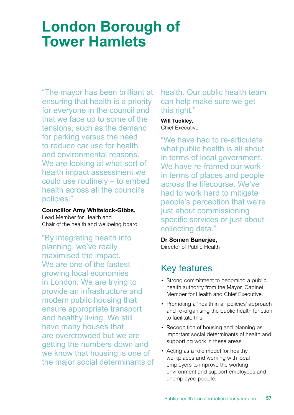## **London Borough of Tower Hamlets**

"The mayor has been brilliant at ensuring that health is a priority for everyone in the council and that we face up to some of the tensions, such as the demand for parking versus the need to reduce car use for health and environmental reasons. We are looking at what sort of health impact assessment we could use routinely – to embed health across all the council's policies."

#### **Councillor Amy Whitelock-Gibbs,** Lead Member for Health and

Chair of the health and wellbeing board

"By integrating health into planning, we've really maximised the impact. We are one of the fastest growing local economies in London. We are trying to provide an infrastructure and modern public housing that ensure appropriate transport and healthy living. We still have many houses that are overcrowded but we are getting the numbers down and we know that housing is one of the major social determinants of

### health. Our public health team can help make sure we get this right."

#### **Will Tuckley,**

Chief Executive

"We have had to re-articulate what public health is all about in terms of local government. We have re-framed our work in terms of places and people across the lifecourse. We've had to work hard to mitigate people's perception that we're just about commissioning specific services or just about collecting data."

**Dr Somen Banerjee,**  Director of Public Health

### Key features

- Strong commitment to becoming a public health authority from the Mayor, Cabinet Member for Health and Chief Executive.
- Promoting a 'health in all policies' approach and re-organising the public health function to facilitate this.
- Recognition of housing and planning as important social determinants of health and supporting work in these areas.
- Acting as a role model for healthy workplaces and working with local employers to improve the working environment and support employees and unemployed people.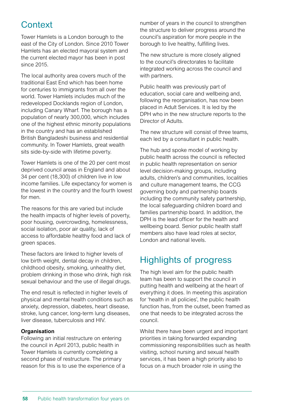### **Context**

Tower Hamlets is a London borough to the east of the City of London. Since 2010 Tower Hamlets has an elected mayoral system and the current elected mayor has been in post since 2015.

The local authority area covers much of the traditional East End which has been home for centuries to immigrants from all over the world. Tower Hamlets includes much of the redeveloped Docklands region of London, including Canary Wharf. The borough has a population of nearly 300,000, which includes one of the highest ethnic minority populations in the country and has an established British Bangladeshi business and residential community. In Tower Hamlets, great wealth sits side-by-side with lifetime poverty.

Tower Hamlets is one of the 20 per cent most deprived council areas in England and about 34 per cent (18,300) of children live in low income families. Life expectancy for women is the lowest in the country and the fourth lowest for men.

The reasons for this are varied but include the health impacts of higher levels of poverty, poor housing, overcrowding, homelessness, social isolation, poor air quality, lack of access to affordable healthy food and lack of green spaces.

These factors are linked to higher levels of low birth weight, dental decay in children, childhood obesity, smoking, unhealthy diet, problem drinking in those who drink, high risk sexual behaviour and the use of illegal drugs.

The end result is reflected in higher levels of physical and mental health conditions such as anxiety, depression, diabetes, heart disease, stroke, lung cancer, long-term lung diseases, liver disease, tuberculosis and HIV.

#### **Organisation**

Following an initial restructure on entering the council in April 2013, public health in Tower Hamlets is currently completing a second phase of restructure. The primary reason for this is to use the experience of a number of years in the council to strengthen the structure to deliver progress around the council's aspiration for more people in the borough to live healthy, fulfilling lives.

The new structure is more closely aligned to the council's directorates to facilitate integrated working across the council and with partners.

Public health was previously part of education, social care and wellbeing and, following the reorganisation, has now been placed in Adult Services. It is led by the DPH who in the new structure reports to the Director of Adults.

The new structure will consist of three teams, each led by a consultant in public health.

The hub and spoke model of working by public health across the council is reflected in public health representation on senior level decision-making groups, including adults, children's and communities, localities and culture management teams, the CCG governing body and partnership boards including the community safety partnership, the local safeguarding children board and families partnership board. In addition, the DPH is the lead officer for the health and wellbeing board. Senior public health staff members also have lead roles at sector, London and national levels.

### Highlights of progress

The high level aim for the public health team has been to support the council in putting health and wellbeing at the heart of everything it does. In meeting this aspiration for 'health in all policies', the public health function has, from the outset, been framed as one that needs to be integrated across the council.

Whilst there have been urgent and important priorities in taking forwarded expanding commissioning responsibilities such as health visiting, school nursing and sexual health services, it has been a high priority also to focus on a much broader role in using the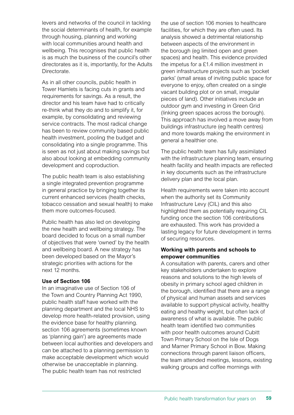levers and networks of the council in tackling the social determinants of health, for example through housing, planning and working with local communities around health and wellbeing. This recognises that public health is as much the business of the council's other directorates as it is, importantly, for the Adults Directorate.

As in all other councils, public health in Tower Hamlets is facing cuts in grants and requirements for savings. As a result, the director and his team have had to critically re-think what they do and to simplify it, for example, by consolidating and reviewing service contracts. The most radical change has been to review community based public health investment, pooling the budget and consolidating into a single programme. This is seen as not just about making savings but also about looking at embedding community development and coproduction.

The public health team is also establishing a single integrated prevention programme in general practice by bringing together its current enhanced services (health checks, tobacco cessation and sexual health) to make them more outcomes-focused.

Public health has also led on developing the new health and wellbeing strategy. The board decided to focus on a small number of objectives that were 'owned' by the health and wellbeing board. A new strategy has been developed based on the Mayor's strategic priorities with actions for the next 12 months.

#### **Use of Section 106**

In an imaginative use of Section 106 of the Town and Country Planning Act 1990, public health staff have worked with the planning department and the local NHS to develop more health-related provision, using the evidence base for healthy planning. section 106 agreements (sometimes known as 'planning gain') are agreements made between local authorities and developers and can be attached to a planning permission to make acceptable development which would otherwise be unacceptable in planning. The public health team has not restricted

the use of section 106 monies to healthcare facilities, for which they are often used. Its analysis showed a detrimental relationship between aspects of the environment in the borough (eg limited open and green spaces) and health. This evidence provided the impetus for a £1.4 million investment in green infrastructure projects such as 'pocket parks' (small areas of inviting public space for everyone to enjoy, often created on a single vacant building plot or on small, irregular pieces of land). Other initiatives include an outdoor gym and investing in Green Grid (linking green spaces across the borough). This approach has involved a move away from buildings infrastructure (eg health centres) and more towards making the environment in general a healthier one.

The public health team has fully assimilated with the infrastructure planning team, ensuring health facility and health impacts are reflected in key documents such as the infrastructure delivery plan and the local plan.

Health requirements were taken into account when the authority set its Community Infrastructure Levy (CIL) and this also highlighted them as potentially requiring CIL funding once the section 106 contributions are exhausted. This work has provided a lasting legacy for future development in terms of securing resources.

#### **Working with parents and schools to empower communities**

A consultation with parents, carers and other key stakeholders undertaken to explore reasons and solutions to the high levels of obesity in primary school aged children in the borough, identified that there are a range of physical and human assets and services available to support physical activity, healthy eating and healthy weight, but often lack of awareness of what is available. The public health team identified two communities with poor health outcomes around Cubitt Town Primary School on the Isle of Dogs and Marner Primary School in Bow. Making connections through parent liaison officers, the team attended meetings, lessons, existing walking groups and coffee mornings with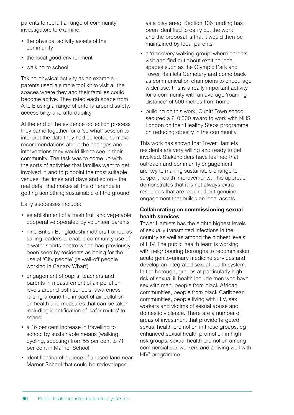parents to recruit a range of community investigators to examine:

- the physical activity assets of the community
- the local good environment
- walking to school.

Taking physical activity as an example – parents used a simple tool kit to visit all the spaces where they and their families could become active. They rated each space from A to E using a range of criteria around safety, accessibility and affordability.

At the end of the evidence collection process they came together for a 'so what' session to interpret the data they had collected to make recommendations about the changes and interventions they would like to see in their community. The task was to come up with the sorts of activities that families want to get involved in and to pinpoint the most suitable venues, the times and days and so on – the real detail that makes all the difference in getting something sustainable off the ground.

Early successes include:

- establishment of a fresh fruit and vegetable cooperative operated by volunteer parents
- nine British Bangladeshi mothers trained as sailing leaders to enable community use of a water sports centre which had previously been seen by residents as being for the use of 'City people' (ie well-off people working in Canary Wharf)
- engagement of pupils, teachers and parents in measurement of air pollution levels around both schools, awareness raising around the impact of air pollution on health and measures that can be taken including identification of 'safer routes' to school
- a 16 per cent increase in travelling to school by sustainable means (walking, cycling, scooting) from 55 per cent to 71 per cent in Marner School
- identification of a piece of unused land near Marner School that could be redeveloped

as a play area; Section 106 funding has been identified to carry out the work and the proposal is that it would then be maintained by local parents

- a 'discovery walking group' where parents visit and find out about exciting local spaces such as the Olympic Park and Tower Hamlets Cemetery and come back as communication champions to encourage wider use; this is a really important activity for a community with an average 'roaming distance' of 500 metres from home
- building on this work, Cubitt Town school secured a £10,000 award to work with NHS London on their Healthy Steps programme on reducing obesity in the community.

This work has shown that Tower Hamlets residents are very willing and ready to get involved. Stakeholders have learned that outreach and community engagement are key to making sustainable change to support health improvements. This approach demonstrates that it is not always extra resources that are required but genuine engagement that builds on local assets..

#### **Collaborating on commissioning sexual health services**

Tower Hamlets has the eighth highest levels of sexually transmitted infections in the country as well as among the highest levels of HIV. The public health team is working with neighbouring boroughs to recommission acute genito-urinary medicine services and develop an integrated sexual health system. In the borough, groups at particularly high risk of sexual ill health include men who have sex with men, people from black African communities, people from black Caribbean communities, people living with HIV, sex workers and victims of sexual abuse and domestic violence. There are a number of areas of investment that provide targeted sexual health promotion in these groups, eg enhanced sexual health promotion in high risk groups, sexual health promotion among commercial sex workers and a 'living well with HIV' programme.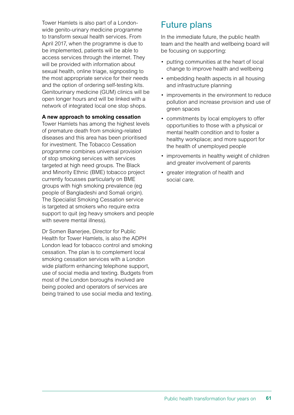Tower Hamlets is also part of a Londonwide genito-urinary medicine programme to transform sexual health services. From April 2017, when the programme is due to be implemented, patients will be able to access services through the internet. They will be provided with information about sexual health, online triage, signposting to the most appropriate service for their needs and the option of ordering self-testing kits. Genitourinary medicine (GUM) clinics will be open longer hours and will be linked with a network of integrated local one stop shops.

#### **A new approach to smoking cessation**

Tower Hamlets has among the highest levels of premature death from smoking-related diseases and this area has been prioritised for investment. The Tobacco Cessation programme combines universal provision of stop smoking services with services targeted at high need groups. The Black and Minority Ethnic (BME) tobacco project currently focusses particularly on BME groups with high smoking prevalence (eg people of Bangladeshi and Somali origin). The Specialist Smoking Cessation service is targeted at smokers who require extra support to quit (eg heavy smokers and people with severe mental illness).

Dr Somen Banerjee, Director for Public Health for Tower Hamlets, is also the ADPH London lead for tobacco control and smoking cessation. The plan is to complement local smoking cessation services with a London wide platform enhancing telephone support, use of social media and texting. Budgets from most of the London boroughs involved are being pooled and operators of services are being trained to use social media and texting.

### Future plans

In the immediate future, the public health team and the health and wellbeing board will be focusing on supporting:

- putting communities at the heart of local change to improve health and wellbeing
- embedding health aspects in all housing and infrastructure planning
- improvements in the environment to reduce pollution and increase provision and use of green spaces
- commitments by local employers to offer opportunities to those with a physical or mental health condition and to foster a healthy workplace; and more support for the health of unemployed people
- improvements in healthy weight of children and greater involvement of parents
- greater integration of health and social care.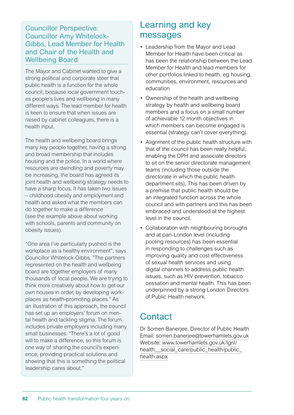#### Councillor Perspective: Councillor Amy Whitelock-Gibbs, Lead Member for Health and Chair of the Health and Wellbeing Board

The Mayor and Cabinet wanted to give a strong political and corporate steer that public health is a function for the whole council, because local government touch es people's lives and wellbeing in many different ways. The lead member for health is keen to ensure that when issues are raised by cabinet colleagues, there is a health input.

The health and wellbeing board brings many key people together, having a strong and broad membership that includes housing and the police. In a world where resources are dwindling and poverty may be increasing, the board has agreed its joint health and wellbeing strategy needs to have a sharp focus. It has taken two issues – childhood obesity and employment and health and asked what the members can do together to make a difference (see the example above about working with schools, parents and community on obesity issues).

"One area I've particularly pushed is the workplace as a healthy environment", says Councillor Whitelock-Gibbs. "The partners represented on the health and wellbeing board are together employers of many thousands of local people. We are trying to think more creatively about how to get our own houses in order, by developing work places as health-promoting places." As an illustration of this approach, the council has set up an employers' forum on men tal health and tackling stigma. The forum includes private employers including many small businesses. "There's a lot of good will to make a difference, so this forum is one way of sharing the council's experi ence, providing practical solutions and showing that this is something the political leadership cares about."

### Learning and key messages

- Leadership from the Mayor and Lead Member for Health have been critical as has been the relationship between the Lead Member for Health and lead members for other portfolios linked to health, eg housing, communities, environment, resources and education
- Ownership of the health and wellbeing strategy by health and wellbeing board members and a focus on a small number of achievable 12 month objectives in which members can become engaged is essential (strategy can't cover everything).
- Alignment of the public health structure with that of the council has been really helpful, enabling the DPH and associate directors to sit on the senior directorate management teams (including those outside the directorate in which the public health department sits). This has been driven by a premise that public health should be an integrated function across the whole council and with partners and this has been embraced and understood at the highest level in the council.
- Collaboration with neighbouring boroughs and at pan-London level (including pooling resources) has been essential in responding to challenges such as improving quality and cost effectiveness of sexual health services and using digital channels to address public health issues, such as HIV prevention, tobacco cessation and mental health. This has been underpinned by a strong London Directors of Public Health network.

### **Contact**

Dr Somen Banerjee, Director of Public Health Email: [somen.banerjee@towerhamlets.gov.uk](mailto:somen.banerjee@towerhamlets.gov.uk) Website: [www.towerhamlets.gov.uk/lgnl/](http://www.towerhamlets.gov.uk/lgnl/health__social_care/public_health/public_health.aspx) health social care/public health/public [health.aspx](http://www.towerhamlets.gov.uk/lgnl/health__social_care/public_health/public_health.aspx)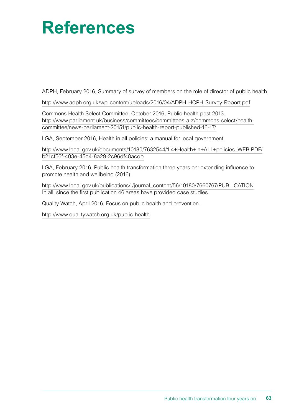# **References**

ADPH, February 2016, Summary of survey of members on the role of director of public health.

<http://www.adph.org.uk/wp-content/uploads/2016/04/ADPH-HCPH-Survey-Report.pdf>

Commons Health Select Committee, October 2016, Public health post 2013. [http://www.parliament.uk/business/committees/committees-a-z/commons-select/health](http://www.parliament.uk/business/committees/committees-a-z/commons-select/health-committee/news-parliament-20151/public-health-report-published-16-17/)[committee/news-parliament-20151/public-health-report-published-16-17/](http://www.parliament.uk/business/committees/committees-a-z/commons-select/health-committee/news-parliament-20151/public-health-report-published-16-17/)

LGA, September 2016, Health in all policies: a manual for local government.

[http://www.local.gov.uk/documents/10180/7632544/1.4+Health+in+ALL+policies\\_WEB.PDF/](http://www.local.gov.uk/documents/10180/7632544/1.4+Health+in+ALL+policies_WEB.PDF/b21cf56f-403e-45c4-8a29-2c96df48acdb) [b21cf56f-403e-45c4-8a29-2c96df48acdb](http://www.local.gov.uk/documents/10180/7632544/1.4+Health+in+ALL+policies_WEB.PDF/b21cf56f-403e-45c4-8a29-2c96df48acdb)

LGA, February 2016, Public health transformation three years on: extending influence to promote health and wellbeing (2016).

http://www.local.gov.uk/publications/-/journal\_content/56/10180/7660767/PUBLICATION. In all, since the first publication 46 areas have provided case studies.

Quality Watch, April 2016, Focus on public health and prevention.

<http://www.qualitywatch.org.uk/public-health>